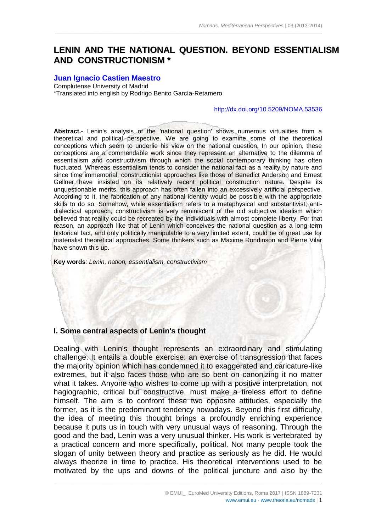# **LENIN AND THE NATIONAL QUESTION. BEYOND ESSENTIALISM AND CONSTRUCTIONISM \***

 $\_$  ,  $\_$  ,  $\_$  ,  $\_$  ,  $\_$  ,  $\_$  ,  $\_$  ,  $\_$  ,  $\_$  ,  $\_$  ,  $\_$  ,  $\_$  ,  $\_$  ,  $\_$  ,  $\_$  ,  $\_$  ,  $\_$  ,  $\_$  ,  $\_$  ,  $\_$  ,  $\_$  ,  $\_$  ,  $\_$  ,  $\_$  ,  $\_$  ,  $\_$  ,  $\_$  ,  $\_$  ,  $\_$  ,  $\_$  ,  $\_$  ,  $\_$  ,  $\_$  ,  $\_$  ,  $\_$  ,  $\_$  ,  $\_$  ,

#### **[Juan Ignacio Castien Maestro](mailto:jicastien@hotmail.com)**

Complutense University of Madrid \*Translated into english by Rodrigo Benito García-Retamero

<http://dx.doi.org/10.5209/NOMA.53536>

**Abstract.-** Lenin's analysis of the 'national question' shows numerous virtualities from a theoretical and political perspective. We are going to examine some of the theoretical conceptions which seem to underlie his view on the national question. In our opinion, these conceptions are a commendable work since they represent an alternative to the dilemma of essentialism and constructivism through which the social contemporary thinking has often fluctuated. Whereas essentialism tends to consider the national fact as a reality by nature and since time immemorial, constructionist approaches like those of Benedict Anderson and Ernest Gellner have insisted on its relatively recent political construction nature. Despite its unquestionable merits, this approach has often fallen into an excessively artificial perspective. According to it, the fabrication of any national identity would be possible with the appropriate skills to do so. Somehow, while essentialism refers to a metaphysical and substantivist, antidialectical approach, constructivism is very reminiscent of the old subjective idealism which believed that reality could be recreated by the individuals with almost complete liberty. For that reason, an approach like that of Lenin which conceives the national question as a long-term historical fact, and only politically manipulable to a very limited extent, could be of great use for materialist theoretical approaches. Some thinkers such as Maxime Rondinson and Pierre Vilar have shown this up.

**Key words***: Lenin, nation, essentialism, constructivism*

#### **I. Some central aspects of Lenin's thought**

Dealing with Lenin's thought represents an extraordinary and stimulating challenge. It entails a double exercise: an exercise of transgression that faces the majority opinion which has condemned it to exaggerated and caricature-like extremes, but it also faces those who are so bent on canonizing it no matter what it takes. Anyone who wishes to come up with a positive interpretation, not hagiographic, critical but constructive, must make a tireless effort to define himself. The aim is to confront these two opposite attitudes, especially the former, as it is the predominant tendency nowadays. Beyond this first difficulty, the idea of meeting this thought brings a profoundly enriching experience because it puts us in touch with very unusual ways of reasoning. Through the good and the bad, Lenin was a very unusual thinker. His work is vertebrated by a practical concern and more specifically, political. Not many people took the slogan of unity between theory and practice as seriously as he did. He would always theorize in time to practice. His theoretical interventions used to be motivated by the ups and downs of the political juncture and also by the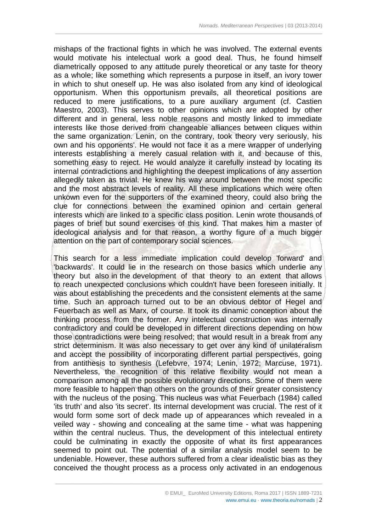mishaps of the fractional fights in which he was involved. The external events would motivate his intelectual work a good deal. Thus, he found himself diametrically opposed to any attitude purely theoretical or any taste for theory as a whole; like something which represents a purpose in itself, an ivory tower in which to shut oneself up. He was also isolated from any kind of ideological opportunism. When this opportunism prevails, all theoretical positions are reduced to mere justifications, to a pure auxiliary argument (cf. Castien Maestro, 2003). This serves to other opinions which are adopted by other different and in general, less noble reasons and mostly linked to immediate interests like those derived from changeable alliances between cliques within the same organization. Lenin, on the contrary, took theory very seriously, his own and his opponents'. He would not face it as a mere wrapper of underlying interests establishing a merely casual relation with it, and because of this, something easy to reject. He would analyze it carefully instead by locating its internal contradictions and highlighting the deepest implications of any assertion allegedly taken as trivial. He knew his way around between the most specific and the most abstract levels of reality. All these implications which were often unkown even for the supporters of the examined theory, could also bring the clue for connections between the examined opinion and certain general interests which are linked to a specific class position. Lenin wrote thousands of pages of brief but sound exercises of this kind. That makes him a master of ideological analysis and for that reason, a worthy figure of a much bigger attention on the part of contemporary social sciences.

 $\_$  ,  $\_$  ,  $\_$  ,  $\_$  ,  $\_$  ,  $\_$  ,  $\_$  ,  $\_$  ,  $\_$  ,  $\_$  ,  $\_$  ,  $\_$  ,  $\_$  ,  $\_$  ,  $\_$  ,  $\_$  ,  $\_$  ,  $\_$  ,  $\_$  ,  $\_$  ,  $\_$  ,  $\_$  ,  $\_$  ,  $\_$  ,  $\_$  ,  $\_$  ,  $\_$  ,  $\_$  ,  $\_$  ,  $\_$  ,  $\_$  ,  $\_$  ,  $\_$  ,  $\_$  ,  $\_$  ,  $\_$  ,  $\_$  ,

This search for a less immediate implication could develop 'forward' and 'backwards'. It could lie in the research on those basics which underlie any theory but also in the development of that theory to an extent that allows to reach unexpected conclusions which couldn't have been foreseen initially. It was about establishing the precedents and the consistent elements at the same time. Such an approach turned out to be an obvious debtor of Hegel and Feuerbach as well as Marx, of course. It took its dinamic conception about the thinking process from the former. Any intelectual construction was internally contradictory and could be developed in different directions depending on how those contradictions were being resolved; that would result in a break from any strict determinism. It was also necessary to get over any kind of unilateralism and accept the possibility of incorporating different partial perspectives, going from antithesis to synthesis (Lefebvre, 1974; Lenin, 1972; Marcuse, 1971). Nevertheless, the recognition of this relative flexibility would not mean a comparison among all the possible evolutionary directions. Some of them were more feasible to happen than others on the grounds of their greater consistency with the nucleus of the posing. This nucleus was what Feuerbach (1984) called 'its truth' and also 'its secret'. Its internal development was crucial. The rest of it would form some sort of deck made up of appearances which revealed in a veiled way - showing and concealing at the same time - what was happening within the central nucleus. Thus, the development of this intelectual entirety could be culminating in exactly the opposite of what its first appearances seemed to point out. The potential of a similar analysis model seem to be undeniable. However, these authors suffered from a clear idealistic bias as they conceived the thought process as a process only activated in an endogenous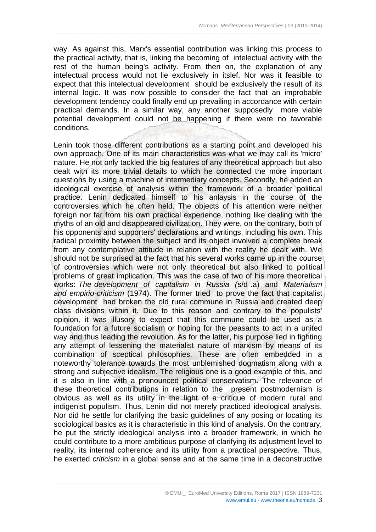way. As against this, Marx's essential contribution was linking this process to the practical activity, that is, linking the becoming of intelectual activity with the rest of the human being's activity. From then on, the explanation of any intelectual process would not lie exclusively in itslef. Nor was it feasible to expect that this intelectual development should be exclusively the result of its internal logic. It was now possible to consider the fact that an improbable development tendency could finally end up prevailing in accordance with certain practical demands. In a similar way, any another supposedly more viable potential development could not be happening if there were no favorable conditions.

 $\_$  ,  $\_$  ,  $\_$  ,  $\_$  ,  $\_$  ,  $\_$  ,  $\_$  ,  $\_$  ,  $\_$  ,  $\_$  ,  $\_$  ,  $\_$  ,  $\_$  ,  $\_$  ,  $\_$  ,  $\_$  ,  $\_$  ,  $\_$  ,  $\_$  ,  $\_$  ,  $\_$  ,  $\_$  ,  $\_$  ,  $\_$  ,  $\_$  ,  $\_$  ,  $\_$  ,  $\_$  ,  $\_$  ,  $\_$  ,  $\_$  ,  $\_$  ,  $\_$  ,  $\_$  ,  $\_$  ,  $\_$  ,  $\_$  ,

Lenin took those different contributions as a starting point and developed his own approach. One of its main characteristics was what we may call its 'micro' nature. He not only tackled the big features of any theoretical approach but also dealt with its more trivial details to which he connected the more important questions by using a machine of intermediary concepts. Secondly, he added an ideological exercise of analysis within the framework of a broader political practice. Lenin dedicated himself to his anlaysis in the course of the controversies which he often held. The objects of his attention were neither foreign nor far from his own practical experience, nothing like dealing with the myths of an old and disappeared civilization. They were, on the contrary, both of his opponents and supporters' declarations and writings, including his own. This radical proximity between the subject and its object involved a complete break from any contemplative attitude in relation with the reality he dealt with. We should not be surprised at the fact that his several works came up in the course of controversies which were not only theoretical but also linked to political problems of great implication. This was the case of two of his more theoretical works: *The development of capitalism in Russia (*s/d .a)and *Materialism and empirio-criticism* (1974). The former tried to prove the fact that capitalist development had broken the old rural commune in Russia and created deep class divisions within it. Due to this reason and contrary to the populists' opinion, it was illusory to expect that this commune could be used as a foundation for a future socialism or hoping for the peasants to act in a united way and thus leading the revolution. As for the latter, his purpose lied in fighting any attempt of lessening the materialist nature of marxism by means of its combination of sceptical philosophies. These are often embedded in a noteworthy tolerance towards the most unblemished dogmatism along with a strong and subjective idealism. The religious one is a good example of this, and it is also in line with a pronounced political conservatism. The relevance of these theoretical contributions in relation to the present postmodernism is obvious as well as its utility in the light of a critique of modern rural and indigenist populism. Thus, Lenin did not merely practiced ideological analysis. Nor did he settle for clarifying the basic guidelines of any posing or locating its sociological basics as it is characteristic in this kind of analysis. On the contrary, he put the strictly ideological analysis into a broader framework, in which he could contribute to a more ambitious purpose of clarifying its adjustment level to reality, its internal coherence and its utility from a practical perspective. Thus, he exerted *criticism* in a global sense and at the same time in a deconstructive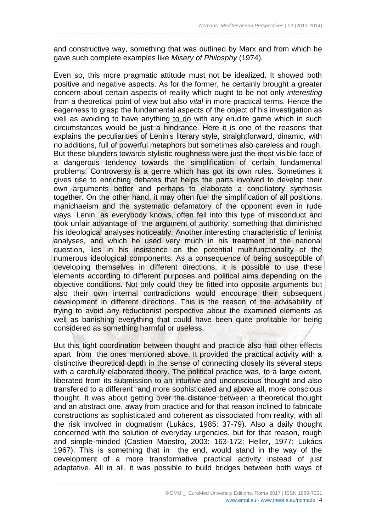and constructive way, something that was outlined by Marx and from which he gave such complete examples like *Misery of Philosphy* (1974)*.*

 $\_$  ,  $\_$  ,  $\_$  ,  $\_$  ,  $\_$  ,  $\_$  ,  $\_$  ,  $\_$  ,  $\_$  ,  $\_$  ,  $\_$  ,  $\_$  ,  $\_$  ,  $\_$  ,  $\_$  ,  $\_$  ,  $\_$  ,  $\_$  ,  $\_$  ,  $\_$  ,  $\_$  ,  $\_$  ,  $\_$  ,  $\_$  ,  $\_$  ,  $\_$  ,  $\_$  ,  $\_$  ,  $\_$  ,  $\_$  ,  $\_$  ,  $\_$  ,  $\_$  ,  $\_$  ,  $\_$  ,  $\_$  ,  $\_$  ,

Even so, this more pragmatic attitude must not be idealized. It showed both positive and negative aspects. As for the former, he certainly brought a greater concern about certain aspects of reality which ought to be not only *interesting* from a theoretical point of view but also *vital* in more practical terms. Hence the eagerness to grasp the fundamental aspects of the object of his investigation as well as avoiding to have anything to do with any erudite game which in such circumstances would be just a hindrance. Here it is one of the reasons that explains the peculiarities of Lenin's literary style, straightforward, dinamic, with no additions, full of powerful metaphors but sometimes also careless and rough. But these blunders towards stylistic roughness were just the most visible face of a dangerous tendency towards the simplification of certain fundamental problems. Controversy is a genre which has got its own rules. Sometimes it gives rise to enriching debates that helps the parts involved to develop their own arguments better and perhaps to elaborate a conciliatory synthesis together. On the other hand, it may often fuel the simplification of all positions, manichaeism and the systematic defamatory of the opponent even in rude ways. Lenin, as everybody knows, often fell into this type of misconduct and took unfair advantage of the argument of authority, something that diminished his ideological analyses noticeably. Another interesting characteristic of leninist analyses, and which he used very much in his treatment of the national question, lies in his insistence on the potential multifunctionality of the numerous ideological components. As a consequence of being susceptible of developing themselves in different directions, it is possible to use these elements according to different purposes and political aims depending on the objective conditions. Not only could they be fitted into opposite arguments but also their own internal contradictions would encourage their subsequent development in different directions. This is the reason of the advisability of trying to avoid any reductionist perspective about the examined elements as well as banishing everything that could have been quite profitable for being considered as something harmful or useless.

But this tight coordination between thought and practice also had other effects apart from the ones mentioned above. It provided the practical activity with a distinctive theoretical depth in the sense of connecting closely its several steps with a carefully elaborated theory. The political practice was, to a large extent, liberated from its submission to an intuitive and unconscious thought and also transfered to a different and more sophisticated and above all, more conscious thought. It was about getting over the distance between a theoretical thought and an abstract one, away from practice and for that reason inclined to fabricate constructions as sophisticated and coherent as dissociated from reality, with all the risk involved in dogmatism (Lukács, 1985: 37-79). Also a daily thought concerned with the solution of everyday urgencies, but for that reason, rough and simple-minded (Castien Maestro, 2003: 163-172; Heller, 1977; Lukács 1967). This is something that in the end, would stand in the way of the development of a more transformative practical activity instead of just adaptative. All in all, it was possible to build bridges between both ways of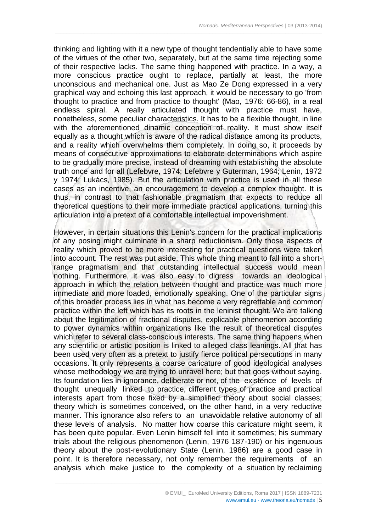thinking and lighting with it a new type of thought tendentially able to have some of the virtues of the other two, separately, but at the same time rejecting some of their respective lacks. The same thing happened with practice. In a way, a more conscious practice ought to replace, partially at least, the more unconscious and mechanical one. Just as Mao Ze Dong expressed in a very graphical way and echoing this last approach, it would be necessary to go 'from thought to practice and from practice to thought' (Mao, 1976: 66-86), in a real endless spiral. A really articulated thought with practice must have, nonetheless, some peculiar characteristics. It has to be a flexible thought, in line with the aforementioned dinamic conception of reality. It must show itself equally as a thought which is aware of the radical distance among its products, and a reality which overwhelms them completely. In doing so, it proceeds by means of consecutive approximations to elaborate determinations which aspire to be gradually more precise, instead of dreaming with establishing the absolute truth once and for all (Lefebvre, 1974; Lefebvre y Guterman, 1964; Lenin, 1972 y 1974; Lukács, 1985). But the articulation with practice is used in all these cases as an incentive, an encouragement to develop a complex thought. It is thus, in contrast to that fashionable pragmatism that expects to reduce all theoretical questions to their more immediate practical applications, turning this articulation into a pretext of a comfortable intellectual impoverishment.

 $\_$  ,  $\_$  ,  $\_$  ,  $\_$  ,  $\_$  ,  $\_$  ,  $\_$  ,  $\_$  ,  $\_$  ,  $\_$  ,  $\_$  ,  $\_$  ,  $\_$  ,  $\_$  ,  $\_$  ,  $\_$  ,  $\_$  ,  $\_$  ,  $\_$  ,  $\_$  ,  $\_$  ,  $\_$  ,  $\_$  ,  $\_$  ,  $\_$  ,  $\_$  ,  $\_$  ,  $\_$  ,  $\_$  ,  $\_$  ,  $\_$  ,  $\_$  ,  $\_$  ,  $\_$  ,  $\_$  ,  $\_$  ,  $\_$  ,

However, in certain situations this Lenin's concern for the practical implications of any posing might culminate in a sharp reductionism. Only those aspects of reality which proved to be more interesting for practical questions were taken into account. The rest was put aside. This whole thing meant to fall into a shortrange pragmatism and that outstanding intellectual success would mean nothing. Furthermore, it was also easy to digress towards an ideological approach in which the relation between thought and practice was much more immediate and more loaded, emotionally speaking. One of the particular signs of this broader process lies in what has become a very regrettable and common practice within the left which has its roots in the leninist thought. We are talking about the legitimation of fractional disputes, explicable phenomenon according to power dynamics within organizations like the result of theoretical disputes which refer to several class-conscious interests. The same thing happens when any scientific or artistic position is linked to alleged class leanings. All that has been used very often as a pretext to justify fierce political persecutions in many occasions. It only represents a coarse caricature of good ideological analyses whose methodology we are trying to unravel here; but that goes without saying. Its foundation lies in ignorance, deliberate or not, of the existence of levels of thought unequally linked to practice, different types of practice and practical interests apart from those fixed by a simplified theory about social classes; theory which is sometimes conceived, on the other hand, in a very reductive manner. This ignorance also refers to an unavoidable relative autonomy of all these levels of analysis. No matter how coarse this caricature might seem, it has been quite popular. Even Lenin himself fell into it sometimes; his summary trials about the religious phenomenon (Lenin, 1976 187-190) or his ingenuous theory about the post-revolutionary State (Lenin, 1986) are a good case in point. It is therefore necessary, not only remember the requirements of an analysis which make justice to the complexity of a situation by reclaiming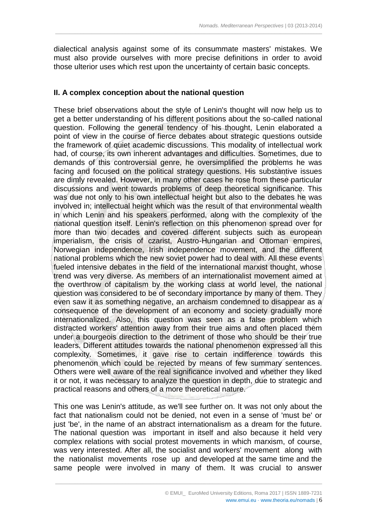dialectical analysis against some of its consummate masters' mistakes. We must also provide ourselves with more precise definitions in order to avoid those ulterior uses which rest upon the uncertainty of certain basic concepts.

 $\_$  ,  $\_$  ,  $\_$  ,  $\_$  ,  $\_$  ,  $\_$  ,  $\_$  ,  $\_$  ,  $\_$  ,  $\_$  ,  $\_$  ,  $\_$  ,  $\_$  ,  $\_$  ,  $\_$  ,  $\_$  ,  $\_$  ,  $\_$  ,  $\_$  ,  $\_$  ,  $\_$  ,  $\_$  ,  $\_$  ,  $\_$  ,  $\_$  ,  $\_$  ,  $\_$  ,  $\_$  ,  $\_$  ,  $\_$  ,  $\_$  ,  $\_$  ,  $\_$  ,  $\_$  ,  $\_$  ,  $\_$  ,  $\_$  ,

# **II. A complex conception about the national question**

These brief observations about the style of Lenin's thought will now help us to get a better understanding of his different positions about the so-called national question. Following the general tendency of his thought, Lenin elaborated a point of view in the course of fierce debates about strategic questions outside the framework of quiet academic discussions. This modality of intellectual work had, of course, its own inherent advantages and difficulties. Sometimes, due to demands of this controversial genre, he oversimplified the problems he was facing and focused on the political strategy questions. His substantive issues are dimly revealed. However, in many other cases he rose from these particular discussions and went towards problems of deep theoretical significance. This was due not only to his own intellectual height but also to the debates he was involved in; intellectual height which was the result of that environmental wealth in which Lenin and his speakers performed, along with the complexity of the national question itself. Lenin's reflection on this phenomenon spread over for more than two decades and covered different subjects such as european imperialism, the crisis of czarist, Austro-Hungarian and Ottoman empires, Norwegian independence, Irish independence movement, and the different national problems which the new soviet power had to deal with. All these events fueled intensive debates in the field of the international marxist thought, whose trend was very diverse. As members of an internationalist movement aimed at the overthrow of capitalism by the working class at world level, the national question was considered to be of secondary importance by many of them. They even saw it as something negative, an archaism condemned to disappear as a consequence of the development of an economy and society gradually more internationalized. Also, this question was seen as a false problem which distracted workers' attention away from their true aims and often placed them under a bourgeois direction to the detriment of those who should be their true leaders. Different attitudes towards the national phenomenon expressed all this complexity. Sometimes, it gave rise to certain indifference towards this phenomenon which could be rejected by means of few summary sentences. Others were well aware of the real significance involved and whether they liked it or not, it was necessary to analyze the question in depth, due to strategic and practical reasons and others of a more theoretical nature.

This one was Lenin's attitude, as we'll see further on. It was not only about the fact that nationalism could not be denied, not even in a sense of 'must be' or just 'be', in the name of an abstract internationalism as a dream for the future. The national question was important in itself and also because it held very complex relations with social protest movements in which marxism, of course, was very interested. After all, the socialist and workers' movement along with the nationalist movements rose up and developed at the same time and the same people were involved in many of them. It was crucial to answer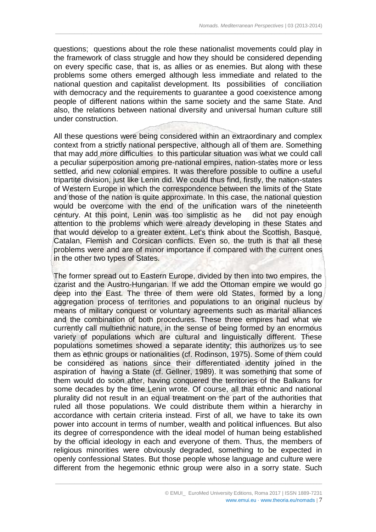questions; questions about the role these nationalist movements could play in the framework of class struggle and how they should be considered depending on every specific case, that is, as allies or as enemies. But along with these problems some others emerged although less immediate and related to the national question and capitalist development. Its possibilities of conciliation with democracy and the requirements to guarantee a good coexistence among people of different nations within the same society and the same State. And also, the relations between national diversity and universal human culture still under construction.

 $\_$  ,  $\_$  ,  $\_$  ,  $\_$  ,  $\_$  ,  $\_$  ,  $\_$  ,  $\_$  ,  $\_$  ,  $\_$  ,  $\_$  ,  $\_$  ,  $\_$  ,  $\_$  ,  $\_$  ,  $\_$  ,  $\_$  ,  $\_$  ,  $\_$  ,  $\_$  ,  $\_$  ,  $\_$  ,  $\_$  ,  $\_$  ,  $\_$  ,  $\_$  ,  $\_$  ,  $\_$  ,  $\_$  ,  $\_$  ,  $\_$  ,  $\_$  ,  $\_$  ,  $\_$  ,  $\_$  ,  $\_$  ,  $\_$  ,

All these questions were being considered within an extraordinary and complex context from a strictly national perspective, although all of them are. Something that may add more difficulties to this particular situation was what we could call a peculiar superposition among pre-national empires, nation-states more or less settled, and new colonial empires. It was therefore possible to outline a useful tripartite division, just like Lenin did. We could thus find, firstly, the nation-states of Western Europe in which the correspondence between the limits of the State and those of the nation is quite approximate. In this case, the national question would be overcome with the end of the unification wars of the nineteenth century. At this point, Lenin was too simplistic as he did not pay enough attention to the problems which were already developing in these States and that would develop to a greater extent. Let's think about the Scottish, Basque, Catalan, Flemish and Corsican conflicts. Even so, the truth is that all these problems were and are of minor importance if compared with the current ones in the other two types of States.

The former spread out to Eastern Europe, divided by then into two empires, the czarist and the Austro-Hungarian. If we add the Ottoman empire we would go deep into the East. The three of them were old States, formed by a long aggregation process of territories and populations to an original nucleus by means of military conquest or voluntary agreements such as marital alliances and the combination of both procedures. These three empires had what we currently call multiethnic nature, in the sense of being formed by an enormous variety of populations which are cultural and linguistically different. These populations sometimes showed a separate identity; this authorizes us to see them as ethnic groups or nationalities (cf. Rodinson, 1975). Some of them could be considered as nations since their differentiated identity joined in the aspiration of having a State (cf. Gellner, 1989). It was something that some of them would do soon after, having conquered the territories of the Balkans for some decades by the time Lenin wrote. Of course, all that ethnic and national plurality did not result in an equal treatment on the part of the authorities that ruled all those populations. We could distribute them within a hierarchy in accordance with certain criteria instead. First of all, we have to take its own power into account in terms of number, wealth and political influences. But also its degree of correspondence with the ideal model of human being established by the official ideology in each and everyone of them. Thus, the members of religious minorities were obviously degraded, something to be expected in openly confessional States. But those people whose language and culture were different from the hegemonic ethnic group were also in a sorry state. Such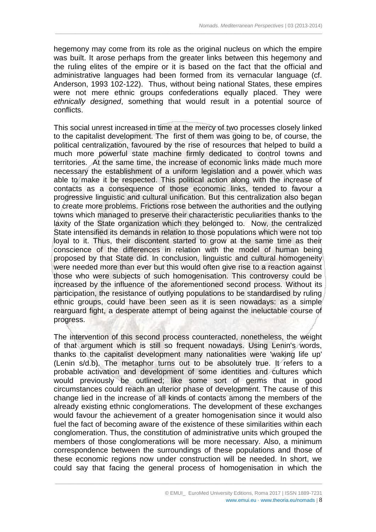hegemony may come from its role as the original nucleus on which the empire was built. It arose perhaps from the greater links between this hegemony and the ruling elites of the empire or it is based on the fact that the official and administrative languages had been formed from its vernacular language (cf. Anderson, 1993 102-122). Thus, without being national States, these empires were not mere ethnic groups confederations equally placed. They were *ethnically designed*, something that would result in a potential source of conflicts.

 $\_$  ,  $\_$  ,  $\_$  ,  $\_$  ,  $\_$  ,  $\_$  ,  $\_$  ,  $\_$  ,  $\_$  ,  $\_$  ,  $\_$  ,  $\_$  ,  $\_$  ,  $\_$  ,  $\_$  ,  $\_$  ,  $\_$  ,  $\_$  ,  $\_$  ,  $\_$  ,  $\_$  ,  $\_$  ,  $\_$  ,  $\_$  ,  $\_$  ,  $\_$  ,  $\_$  ,  $\_$  ,  $\_$  ,  $\_$  ,  $\_$  ,  $\_$  ,  $\_$  ,  $\_$  ,  $\_$  ,  $\_$  ,  $\_$  ,

This social unrest increased in time at the mercy of two processes closely linked to the capitalist development. The first of them was going to be, of course, the political centralization, favoured by the rise of resources that helped to build a much more powerful state machine firmly dedicated to control towns and territories. At the same time, the increase of economic links made much more necessary the establishment of a uniform legislation and a power which was able to make it be respected. This political action along with the increase of contacts as a consequence of those economic links, tended to favour a progressive linguistic and cultural unification. But this centralization also began to create more problems. Frictions rose between the authorities and the outlying towns which managed to preserve their characteristic peculiarities thanks to the laxity of the State organization which they belonged to. Now, the centralized State intensified its demands in relation to those populations which were not too loyal to it. Thus, their discontent started to grow at the same time as their conscience of the differences in relation with the model of human being proposed by that State did. In conclusion, linguistic and cultural homogeneity were needed more than ever but this would often give rise to a reaction against those who were subjects of such homogenisation. This controversy could be increased by the influence of the aforementioned second process. Without its participation, the resistance of outlying populations to be standardised by ruling ethnic groups, could have been seen as it is seen nowadays: as a simple rearguard fight, a desperate attempt of being against the ineluctable course of progress.

The intervention of this second process counteracted, nonetheless, the weight of that argument which is still so frequent nowadays. Using Lenin's words, thanks to the capitalist development many nationalities were 'waking life up' (Lenin s/d.b). The metaphor turns out to be absolutely true. It refers to a probable activation and development of some identities and cultures which would previously be outlined; like some sort of germs that in good circumstances could reach an ulterior phase of development. The cause of this change lied in the increase of all kinds of contacts among the members of the already existing ethnic conglomerations. The development of these exchanges would favour the achievement of a greater homogenisation since it would also fuel the fact of becoming aware of the existence of these similarities within each conglomeration. Thus, the constitution of administrative units which grouped the members of those conglomerations will be more necessary. Also, a minimum correspondence between the surroundings of these populations and those of these economic regions now under construction will be needed. In short, we could say that facing the general process of homogenisation in which the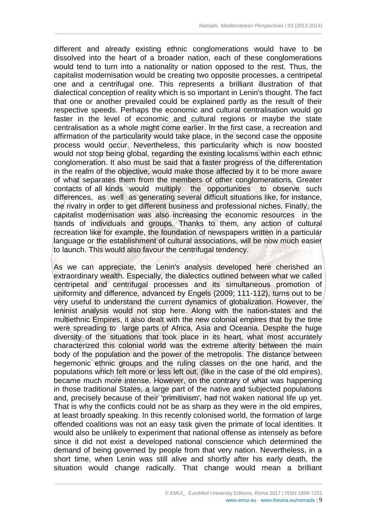different and already existing ethnic conglomerations would have to be dissolved into the heart of a broader nation, each of these conglomerations would tend to turn into a nationality or nation opposed to the rest. Thus, the capitalist modernisation would be creating two opposite processes, a centripetal one and a centrifugal one. This represents a brilliant illustration of that dialectical conception of reality which is so important in Lenin's thought. The fact that one or another prevailed could be explained partly as the result of their respective speeds. Perhaps the economic and cultural centralisation would go faster in the level of economic and cultural regions or maybe the state centralisation as a whole might come earlier. In the first case, a recreation and affirmation of the particularity would take place, in the second case the opposite process would occur. Nevertheless, this particularity which is now boosted would not stop being global, regarding the existing localisms within each ethnic conglomeration. It also must be said that a faster progress of the differentation in the realm of the objective, would make those affected by it to be more aware of what separates them from the members of other conglomerations. Greater contacts of all kinds would multiply the opportunities to observe such differences, as well as generating several difficult situations like, for instance, the rivalry in order to get different business and professional niches. Finally, the capitalist modernisation was also increasing the economic resources in the hands of individuals and groups. Thanks to them, any action of cultural recreation like for example, the foundation of newspapers written in a particular language or the establishment of cultural associations, will be now much easier to launch. This would also favour the centrifugal tendency.

 $\_$  ,  $\_$  ,  $\_$  ,  $\_$  ,  $\_$  ,  $\_$  ,  $\_$  ,  $\_$  ,  $\_$  ,  $\_$  ,  $\_$  ,  $\_$  ,  $\_$  ,  $\_$  ,  $\_$  ,  $\_$  ,  $\_$  ,  $\_$  ,  $\_$  ,  $\_$  ,  $\_$  ,  $\_$  ,  $\_$  ,  $\_$  ,  $\_$  ,  $\_$  ,  $\_$  ,  $\_$  ,  $\_$  ,  $\_$  ,  $\_$  ,  $\_$  ,  $\_$  ,  $\_$  ,  $\_$  ,  $\_$  ,  $\_$  ,

As we can appreciate, the Lenin's analysis developed here cherished an extraordinary wealth. Especially, the dialectics outlined between what we called centripetal and centrifugal processes and its simultaneous promotion of uniformity and difference, advanced by Engels (2009; 111-112), turns out to be very useful to understand the current dynamics of globalization. However, the leninist analysis would not stop here. Along with the nation-states and the multiethnic Empires, it also dealt with the new colonial empires that by the time were spreading to large parts of Africa, Asia and Oceania. Despite the huge diversity of the situations that took place in its heart, what most accurately characterized this colonial world was the extreme alterity between the main body of the population and the power of the metropolis. The distance between hegemonic ethnic groups and the ruling classes on the one hand, and the populations which felt more or less left out, (like in the case of the old empires), became much more intense. However, on the contrary of what was happening in those traditional States, a large part of the native and subjected populations and, precisely because of their 'primitivism', had not waken national life up yet. That is why the conflicts could not be as sharp as they were in the old empires, at least broadly speaking. In this recently colonised world, the formation of large offended coalitions was not an easy task given the primate of local identities. It would also be unlikely to experiment that national offense as intensely as before since it did not exist a developed national conscience which determined the demand of being governed by people from that very nation. Nevertheless, in a short time, when Lenin was still alive and shortly after his early death, the situation would change radically. That change would mean a brilliant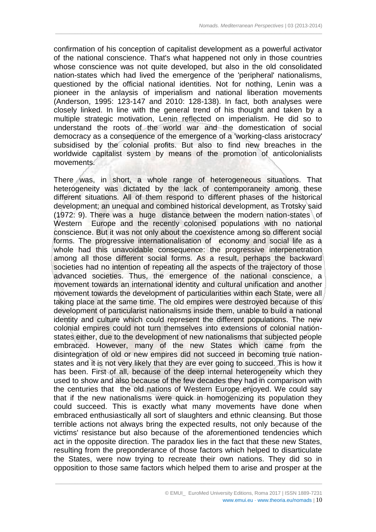confirmation of his conception of capitalist development as a powerful activator of the national conscience. That's what happened not only in those countries whose conscience was not quite developed, but also in the old consolidated nation-states which had lived the emergence of the 'peripheral' nationalisms, questioned by the official national identities. Not for nothing, Lenin was a pioneer in the anlaysis of imperialism and national liberation movements (Anderson, 1995: 123-147 and 2010: 128-138). In fact, both analyses were closely linked. In line with the general trend of his thought and taken by a multiple strategic motivation, Lenin reflected on imperialism. He did so to understand the roots of the world war and the domestication of social democracy as a consequence of the emergence of a 'working-class aristocracy' subsidised by the colonial profits. But also to find new breaches in the worldwide capitalist system by means of the promotion of anticolonialists movements.

 $\_$  ,  $\_$  ,  $\_$  ,  $\_$  ,  $\_$  ,  $\_$  ,  $\_$  ,  $\_$  ,  $\_$  ,  $\_$  ,  $\_$  ,  $\_$  ,  $\_$  ,  $\_$  ,  $\_$  ,  $\_$  ,  $\_$  ,  $\_$  ,  $\_$  ,  $\_$  ,  $\_$  ,  $\_$  ,  $\_$  ,  $\_$  ,  $\_$  ,  $\_$  ,  $\_$  ,  $\_$  ,  $\_$  ,  $\_$  ,  $\_$  ,  $\_$  ,  $\_$  ,  $\_$  ,  $\_$  ,  $\_$  ,  $\_$  ,

There was, in short, a whole range of heterogeneous situations. That heterogeneity was dictated by the lack of contemporaneity among these different situations. All of them respond to different phases of the historical development; an unequal and combined historical development, as Trotsky said (1972: 9). There was a huge distance between the modern nation-states of Western Europe and the recently colonised populations with no national conscience. But it was not only about the coexistence among so different social forms. The progressive internationalisation of economy and social life as a whole had this unavoidable consequence: the progressive interpenetration among all those different social forms. As a result, perhaps the backward societies had no intention of repeating all the aspects of the trajectory of those advanced societies. Thus, the emergence of the national conscience, a movement towards an international identity and cultural unification and another movement towards the development of particularities within each State, were all taking place at the same time. The old empires were destroyed because of this development of particularist nationalisms inside them, unable to build a national identity and culture which could represent the different populations. The new colonial empires could not turn themselves into extensions of colonial nationstates either, due to the development of new nationalisms that subjected people embraced. However, many of the new States which came from the disintegration of old or new empires did not succeed in becoming true nationstates and it is not very likely that they are ever going to succeed. This is how it has been. First of all, because of the deep internal heterogeneity which they used to show and also because of the few decades they had in comparison with the centuries that the old nations of Western Europe enjoyed. We could say that if the new nationalisms were quick in homogenizing its population they could succeed. This is exactly what many movements have done when embraced enthusiastically all sort of slaughters and ethnic cleansing. But those terrible actions not always bring the expected results, not only because of the victims' resistance but also because of the aforementioned tendencies which act in the opposite direction. The paradox lies in the fact that these new States, resulting from the preponderance of those factors which helped to disarticulate the States, were now trying to recreate their own nations. They did so in opposition to those same factors which helped them to arise and prosper at the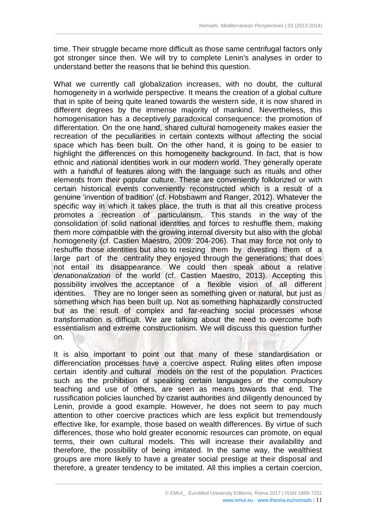time. Their struggle became more difficult as those same centrifugal factors only got stronger since then. We will try to complete Lenin's analyses in order to understand better the reasons that lie behind this question.

 $\_$  ,  $\_$  ,  $\_$  ,  $\_$  ,  $\_$  ,  $\_$  ,  $\_$  ,  $\_$  ,  $\_$  ,  $\_$  ,  $\_$  ,  $\_$  ,  $\_$  ,  $\_$  ,  $\_$  ,  $\_$  ,  $\_$  ,  $\_$  ,  $\_$  ,  $\_$  ,  $\_$  ,  $\_$  ,  $\_$  ,  $\_$  ,  $\_$  ,  $\_$  ,  $\_$  ,  $\_$  ,  $\_$  ,  $\_$  ,  $\_$  ,  $\_$  ,  $\_$  ,  $\_$  ,  $\_$  ,  $\_$  ,  $\_$  ,

What we currently call globalization increases, with no doubt, the cultural homogeneity in a worlwide perspective. It means the creation of a global culture that in spite of being quite leaned towards the western side, it is now shared in different degrees by the immense majority of mankind. Nevertheless, this homogenisation has a deceptively paradoxical consequence: the promotion of differentation. On the one hand, shared cultural homogeneity makes easier the recreation of the peculiarities in certain contexts without affecting the social space which has been built. On the other hand, it is going to be easier to highlight the differences on this homogeneity background. In fact, that is how ethnic and national identities work in our modern world. They generally operate with a handful of features along with the language such as rituals and other elements from their popular culture. These are conveniently folklorized or with certain historical events conveniently reconstructed which is a result of a genuine 'invention of tradition' (cf. Hobsbawm and Ranger, 2012). Whatever the specific way in which it takes place, the truth is that all this creative process promotes a recreation of particularism. This stands in the way of the consolidation of solid national identities and forces to reshuffle them, making them more compatible with the growing internal diversity but also with the global homogeneity (cf. Castien Maestro, 2009: 204-206). That may force not only to reshuffle those identities but also to resizing them by divesting them of a large part of the centrality they enjoyed through the generations; that does not entail its disappearance. We could then speak about a relative *denationalization* of the world (cf. Castien Maestro, 2013). Accepting this possibility involves the acceptance of a flexible vision of all different identities. They are no longer seen as something given or natural, but just as something which has been built up. Not as something haphazardly constructed but as the result of complex and far-reaching social processes whose transformation is difficult. We are talking about the need to overcome both essentialism and extreme constructionism. We will discuss this question further on.

It is also important to point out that many of these standardisation or differenciation processes have a coercive aspect. Ruling elites often impose certain identity and cultural models on the rest of the population. Practices such as the prohibition of speaking certain languages or the compulsory teaching and use of others, are seen as means towards that end. The russification policies launched by czarist authorities and diligently denounced by Lenin, provide a good example. However, he does not seem to pay much attention to other coercive practices which are less explicit but tremendously effective like, for example, those based on wealth differences. By virtue of such differences, those who hold greater economic resources can promote, on equal terms, their own cultural models. This will increase their availability and therefore, the possibility of being imitated. In the same way, the wealthiest groups are more likely to have a greater social prestige at their disposal and therefore, a greater tendency to be imitated. All this implies a certain coercion,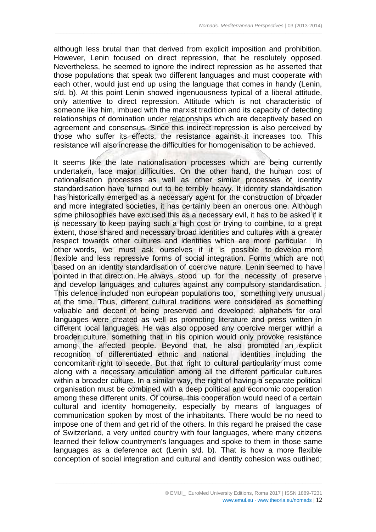although less brutal than that derived from explicit imposition and prohibition. However, Lenin focused on direct repression, that he resolutely opposed. Nevertheless, he seemed to ignore the indirect repression as he asserted that those populations that speak two different languages and must cooperate with each other, would just end up using the language that comes in handy (Lenin, s/d. b). At this point Lenin showed ingenuousness typical of a liberal attitude, only attentive to direct repression. Attitude which is not characteristic of someone like him, imbued with the marxist tradition and its capacity of detecting relationships of domination under relationships which are deceptively based on agreement and consensus. Since this indirect repression is also perceived by those who suffer its effects, the resistance against it increases too. This resistance will also increase the difficulties for homogenisation to be achieved.

 $\_$  ,  $\_$  ,  $\_$  ,  $\_$  ,  $\_$  ,  $\_$  ,  $\_$  ,  $\_$  ,  $\_$  ,  $\_$  ,  $\_$  ,  $\_$  ,  $\_$  ,  $\_$  ,  $\_$  ,  $\_$  ,  $\_$  ,  $\_$  ,  $\_$  ,  $\_$  ,  $\_$  ,  $\_$  ,  $\_$  ,  $\_$  ,  $\_$  ,  $\_$  ,  $\_$  ,  $\_$  ,  $\_$  ,  $\_$  ,  $\_$  ,  $\_$  ,  $\_$  ,  $\_$  ,  $\_$  ,  $\_$  ,  $\_$  ,

It seems like the late nationalisation processes which are being currently undertaken, face major difficulties. On the other hand, the human cost of nationalisation processes as well as other similar processes of identity standardisation have turned out to be terribly heavy. If identity standardisation has historically emerged as a necessary agent for the construction of broader and more integrated societies, it has certainly been an onerous one. Although some philosophies have excused this as a necessary evil, it has to be asked if it is necessary to keep paying such a high cost or trying to combine, to a great extent, those shared and necessary broad identities and cultures with a greater respect towards other cultures and identities which are more particular. In other words, we must ask ourselves if it is possible to develop more flexible and less repressive forms of social integration. Forms which are not based on an identity standardisation of coercive nature. Lenin seemed to have pointed in that direction. He always stood up for the necessity of preserve and develop languages and cultures against any compulsory standardisation. This defence included non european populations too, something very unusual at the time. Thus, different cultural traditions were considered as something valuable and decent of being preserved and developed; alphabets for oral languages were created as well as promoting literature and press written in different local languages. He was also opposed any coercive merger within a broader culture, something that in his opinion would only provoke resistance among the affected people. Beyond that, he also promoted an explicit recognition of differentiated ethnic and national identities including the concomitant right to secede. But that right to cultural particularity must come along with a necessary articulation among all the different particular cultures within a broader culture. In a similar way, the right of having a separate political organisation must be combined with a deep political and economic cooperation among these different units. Of course, this cooperation would need of a certain cultural and identity homogeneity, especially by means of languages of communication spoken by most of the inhabitants. There would be no need to impose one of them and get rid of the others. In this regard he praised the case of Switzerland, a very united country with four languages, where many citizens learned their fellow countrymen's languages and spoke to them in those same languages as a deference act (Lenin s/d. b). That is how a more flexible conception of social integration and cultural and identity cohesion was outlined;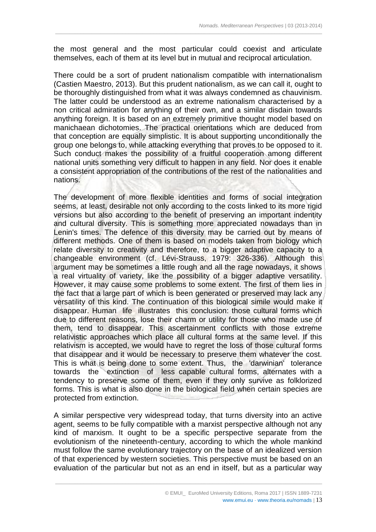the most general and the most particular could coexist and articulate themselves, each of them at its level but in mutual and reciprocal articulation.

 $\_$  ,  $\_$  ,  $\_$  ,  $\_$  ,  $\_$  ,  $\_$  ,  $\_$  ,  $\_$  ,  $\_$  ,  $\_$  ,  $\_$  ,  $\_$  ,  $\_$  ,  $\_$  ,  $\_$  ,  $\_$  ,  $\_$  ,  $\_$  ,  $\_$  ,  $\_$  ,  $\_$  ,  $\_$  ,  $\_$  ,  $\_$  ,  $\_$  ,  $\_$  ,  $\_$  ,  $\_$  ,  $\_$  ,  $\_$  ,  $\_$  ,  $\_$  ,  $\_$  ,  $\_$  ,  $\_$  ,  $\_$  ,  $\_$  ,

There could be a sort of prudent nationalism compatible with internationalism (Castien Maestro, 2013). But this prudent nationalism, as we can call it, ought to be thoroughly distinguished from what it was always condemned as chauvinism. The latter could be understood as an extreme nationalism characterised by a non critical admiration for anything of their own, and a similar disdain towards anything foreign. It is based on an extremely primitive thought model based on manichaean dichotomies. The practical orientations which are deduced from that conception are equally simplistic. It is about supporting unconditionally the group one belongs to, while attacking everything that proves to be opposed to it. Such conduct makes the possibility of a fruitful cooperation among different national units something very difficult to happen in any field. Nor does it enable a consistent appropriation of the contributions of the rest of the nationalities and nations.

The development of more flexible identities and forms of social integration seems, at least, desirable not only according to the costs linked to its more rigid versions but also according to the benefit of preserving an important indentity and cultural diversity. This is something more appreciated nowadays than in Lenin's times. The defence of this diversity may be carried out by means of different methods. One of them is based on models taken from biology which relate diversity to creativity and therefore, to a bigger adaptive capacity to a changeable environment (cf. Lévi-Strauss, 1979: 326-336). Although this argument may be sometimes a little rough and all the rage nowadays, it shows a real virtuality of variety, like the possibility of a bigger adaptive versatility. However, it may cause some problems to some extent. The first of them lies in the fact that a large part of which is been generated or preserved may lack any versatility of this kind. The continuation of this biological simile would make it disappear. Human life illustrates this conclusion: those cultural forms which due to different reasons, lose their charm or utility for those who made use of them, tend to disappear. This ascertainment conflicts with those extreme relativistic approaches which place all cultural forms at the same level. If this relativism is accepted, we would have to regret the loss of those cultural forms that disappear and it would be necessary to preserve them whatever the cost. This is what is being done to some extent. Thus, the 'darwinian' tolerance towards the extinction of less capable cultural forms, alternates with a tendency to preserve some of them, even if they only survive as folklorized forms. This is what is also done in the biological field when certain species are protected from extinction.

A similar perspective very widespread today, that turns diversity into an active agent, seems to be fully compatible with a marxist perspective although not any kind of marxism. It ought to be a specific perspective separate from the evolutionism of the nineteenth-century, according to which the whole mankind must follow the same evolutionary trajectory on the base of an idealized version of that experienced by western societies. This perspective must be based on an evaluation of the particular but not as an end in itself, but as a particular way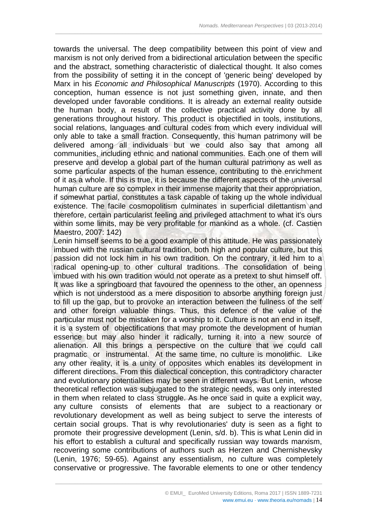towards the universal. The deep compatibility between this point of view and marxism is not only derived from a bidirectional articulation between the specific and the abstract, something characteristic of dialectical thought. It also comes from the possibility of setting it in the concept of 'generic being' developed by Marx in his *Economic and Philosophical Manuscripts* (1970). According to this conception, human essence is not just something given, innate, and then developed under favorable conditions. It is already an external reality outside the human body, a result of the collective practical activity done by all generations throughout history. This product is objectified in tools, institutions, social relations, languages and cultural codes from which every individual will only able to take a small fraction. Consequently, this human patrimony will be delivered among all individuals but we could also say that among all communities, including ethnic and national communities. Each one of them will preserve and develop a global part of the human cultural patrimony as well as some particular aspects of the human essence, contributing to the enrichment of it as a whole. If this is true, it is because the different aspects of the universal human culture are so complex in their immense majority that their appropriation, if somewhat partial, constitutes a task capable of taking up the whole individual existence. The facile cosmopolitism culminates in superficial dilettantism and therefore, certain particularist feeling and privileged attachment to what it's ours within some limits, may be very profitable for mankind as a whole. (cf. Castien Maestro, 2007: 142)

 $\_$  ,  $\_$  ,  $\_$  ,  $\_$  ,  $\_$  ,  $\_$  ,  $\_$  ,  $\_$  ,  $\_$  ,  $\_$  ,  $\_$  ,  $\_$  ,  $\_$  ,  $\_$  ,  $\_$  ,  $\_$  ,  $\_$  ,  $\_$  ,  $\_$  ,  $\_$  ,  $\_$  ,  $\_$  ,  $\_$  ,  $\_$  ,  $\_$  ,  $\_$  ,  $\_$  ,  $\_$  ,  $\_$  ,  $\_$  ,  $\_$  ,  $\_$  ,  $\_$  ,  $\_$  ,  $\_$  ,  $\_$  ,  $\_$  ,

Lenin himself seems to be a good example of this attitude. He was passionately imbued with the russian cultural tradition, both high and popular culture, but this passion did not lock him in his own tradition. On the contrary, it led him to a radical opening-up to other cultural traditions. The consolidation of being imbued with his own tradition would not operate as a pretext to shut himself off. It was like a springboard that favoured the openness to the other, an openness which is not understood as a mere disposition to absorbe anything foreign just to fill up the gap, but to provoke an interaction between the fullness of the self and other foreign valuable things. Thus, this defence of the value of the particular must not be mistaken for a worship to it. Culture is not an end in itself, it is a system of objectifications that may promote the development of human essence but may also hinder it radically, turning it into a new source of alienation. All this brings a perspective on the culture that we could call pragmatic or instrumental. At the same time, no culture is monolithic. Like any other reality, it is a unity of opposites which enables its development in different directions. From this dialectical conception, this contradictory character and evolutionary potentialities may be seen in different ways. But Lenin, whose theoretical reflection was subjugated to the strategic needs, was only interested in them when related to class struggle. As he once said in quite a explicit way, any culture consists of elements that are subject to a reactionary or revolutionary development as well as being subject to serve the interests of certain social groups. That is why revolutionaries' duty is seen as a fight to promote their progressive development (Lenin, s/d. b). This is what Lenin did in his effort to establish a cultural and specifically russian way towards marxism, recovering some contributions of authors such as Herzen and Chernishevsky (Lenin, 1976; 59-65). Against any essentialism, no culture was completely conservative or progressive. The favorable elements to one or other tendency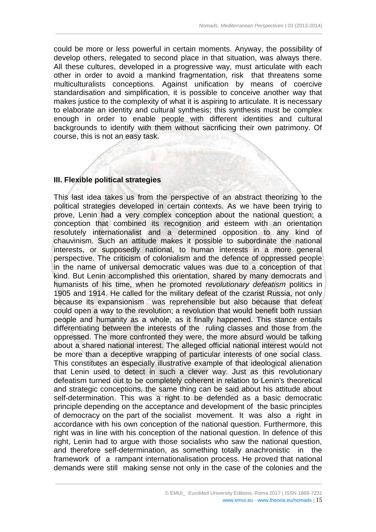could be more or less powerful in certain moments. Anyway, the possibility of develop others, relegated to second place in that situation, was always there. All these cultures, developed in a progressive way, must articulate with each other in order to avoid a mankind fragmentation, risk that threatens some multiculturalists conceptions. Against unification by means of coercive standardisation and simplification, it is possible to conceive another way that makes justice to the complexity of what it is aspiring to articulate. It is necessary to elaborate an identity and cultural synthesis; this synthesis must be complex enough in order to enable people with different identities and cultural backgrounds to identify with them without sacrificing their own patrimony. Of course, this is not an easy task.

 $\_$  ,  $\_$  ,  $\_$  ,  $\_$  ,  $\_$  ,  $\_$  ,  $\_$  ,  $\_$  ,  $\_$  ,  $\_$  ,  $\_$  ,  $\_$  ,  $\_$  ,  $\_$  ,  $\_$  ,  $\_$  ,  $\_$  ,  $\_$  ,  $\_$  ,  $\_$  ,  $\_$  ,  $\_$  ,  $\_$  ,  $\_$  ,  $\_$  ,  $\_$  ,  $\_$  ,  $\_$  ,  $\_$  ,  $\_$  ,  $\_$  ,  $\_$  ,  $\_$  ,  $\_$  ,  $\_$  ,  $\_$  ,  $\_$  ,

### **III. Flexible political strategies**

This last idea takes us from the perspective of an abstract theorizing to the political strategies developed in certain contexts. As we have been trying to prove, Lenin had a very complex conception about the national question; a conception that combined its recognition and esteem with an orientation resolutely internationalist and a determined opposition to any kind of chauvinism. Such an attitude makes it possible to subordinate the national interests, or supposedly national, to human interests in a more general perspective. The criticism of colonialism and the defence of oppressed people in the name of universal democratic values was due to a conception of that kind. But Lenin accomplished this orientation, shared by many democrats and humanists of his time, when he promoted *revolutionary defeatism* politics in 1905 and 1914. He called for the military defeat of the czarist Russia, not only because its expansionism was reprehensible but also because that defeat could open a way to the revolution; a revolution that would benefit both russian people and humanity as a whole, as it finally happened. This stance entails differentiating between the interests of the ruling classes and those from the oppressed. The more confronted they were, the more absurd would be talking about a shared national interest. The alleged official national interest would not be more than a deceptive wrapping of particular interests of one social class. This constitutes an especially illustrative example of that ideological alienation that Lenin used to detect in such a clever way. Just as this revolutionary defeatism turned out to be completely coherent in relation to Lenin's theoretical and strategic conceptions, the same thing can be said about his attitude about self-determination. This was a right to be defended as a basic democratic principle depending on the acceptance and development of the basic principles of democracy on the part of the socialist movement. It was also a right in accordance with his own conception of the national question. Furthermore, this right was in line with his conception of the national question. In defence of this right, Lenin had to argue with those socialists who saw the national question, and therefore self-determination, as something totally anachronistic in the framework of a rampant internationalisation process. He proved that national demands were still making sense not only in the case of the colonies and the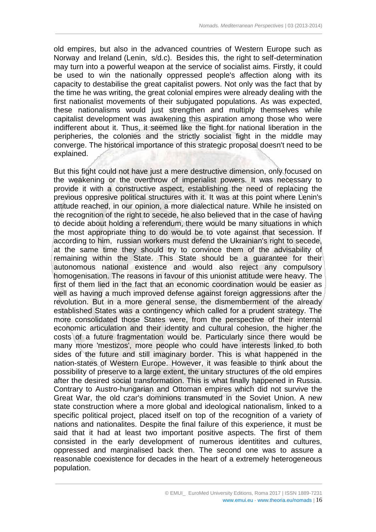old empires, but also in the advanced countries of Western Europe such as Norway and Ireland (Lenin, s/d.c). Besides this, the right to self-determination may turn into a powerful weapon at the service of socialist aims. Firstly, it could be used to win the nationally oppressed people's affection along with its capacity to destabilise the great capitalist powers. Not only was the fact that by the time he was writing, the great colonial empires were already dealing with the first nationalist movements of their subjugated populations. As was expected, these nationalisms would just strengthen and multiply themselves while capitalist development was awakening this aspiration among those who were indifferent about it. Thus, it seemed like the fight for national liberation in the peripheries, the colonies and the strictly socialist fight in the middle may converge. The historical importance of this strategic proposal doesn't need to be explained.

 $\_$  ,  $\_$  ,  $\_$  ,  $\_$  ,  $\_$  ,  $\_$  ,  $\_$  ,  $\_$  ,  $\_$  ,  $\_$  ,  $\_$  ,  $\_$  ,  $\_$  ,  $\_$  ,  $\_$  ,  $\_$  ,  $\_$  ,  $\_$  ,  $\_$  ,  $\_$  ,  $\_$  ,  $\_$  ,  $\_$  ,  $\_$  ,  $\_$  ,  $\_$  ,  $\_$  ,  $\_$  ,  $\_$  ,  $\_$  ,  $\_$  ,  $\_$  ,  $\_$  ,  $\_$  ,  $\_$  ,  $\_$  ,  $\_$  ,

But this fight could not have just a mere destructive dimension, only focused on the weakening or the overthrow of imperialist powers. It was necessary to provide it with a constructive aspect, establishing the need of replacing the previous oppresive political structures with it. It was at this point where Lenin's attitude reached, in our opinion, a more dialectical nature. While he insisted on the recognition of the right to secede, he also believed that in the case of having to decide about holding a referendum, there would be many situations in which the most appropriate thing to do would be to vote against that secession. If according to him, russian workers must defend the Ukrainian's right to secede, at the same time they should try to convince them of the advisability of remaining within the State. This State should be a guarantee for their autonomous national existence and would also reject any compulsory homogenisation. The reasons in favour of this unionist attitude were heavy. The first of them lied in the fact that an economic coordination would be easier as well as having a much improved defense against foreign aggressions after the revolution. But in a more general sense, the dismemberment of the already established States was a contingency which called for a prudent strategy. The more consolidated those States were, from the perspective of their internal economic articulation and their identity and cultural cohesion, the higher the costs of a future fragmentation would be. Particularly since there would be many more 'mestizos', more people who could have interests linked to both sides of the future and still imaginary border. This is what happened in the nation-states of Western Europe. However, it was feasible to think about the possibility of preserve to a large extent, the unitary structures of the old empires after the desired social transformation. This is what finally happened in Russia. Contrary to Austro-hungarian and Ottoman empires which did not survive the Great War, the old czar's dominions transmuted in the Soviet Union. A new state construction where a more global and ideological nationalism, linked to a specific political project, placed itself on top of the recognition of a variety of nations and nationalites. Despite the final failure of this experience, it must be said that it had at least two important positive aspects. The first of them consisted in the early development of numerous identitites and cultures, oppressed and marginalised back then. The second one was to assure a reasonable coexistence for decades in the heart of a extremely heterogeneous population.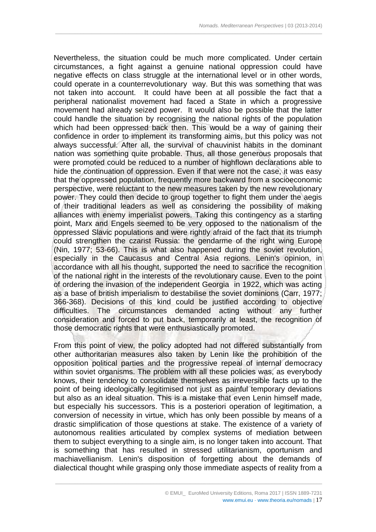Nevertheless, the situation could be much more complicated. Under certain circumstances, a fight against a genuine national oppression could have negative effects on class struggle at the international level or in other words, could operate in a counterrevolutionary way. But this was something that was not taken into account. It could have been at all possible the fact that a peripheral nationalist movement had faced a State in which a progressive movement had already seized power. It would also be possible that the latter could handle the situation by recognising the national rights of the population which had been oppressed back then. This would be a way of gaining their confidence in order to implement its transforming aims, but this policy was not always successful. After all, the survival of chauvinist habits in the dominant nation was something quite probable. Thus, all those generous proposals that were promoted could be reduced to a number of highflown declarations able to hide the continuation of oppression. Even if that were not the case, it was easy that the oppressed population, frequently more backward from a socioeconomic perspective, were reluctant to the new measures taken by the new revolutionary power. They could then decide to group together to fight them under the aegis of their traditional leaders as well as considering the possibility of making alliances with enemy imperialist powers. Taking this contingency as a starting point, Marx and Engels seemed to be very opposed to the nationalism of the oppressed Slavic populations and were rightly afraid of the fact that its triumph could strengthen the czarist Russia: the gendarme of the right wing Europe (Nin, 1977; 53-66). This is what also happened during the soviet revolution, especially in the Caucasus and Central Asia regions. Lenin's opinion, in accordance with all his thought, supported the need to sacrifice the recognition of the national right in the interests of the revolutionary cause. Even to the point of ordering the invasion of the independent Georgia in 1922, which was acting as a base of british imperialism to destabilise the soviet dominions (Carr, 1977; 366-368). Decisions of this kind could be justified according to objective difficulties. The circumstances demanded acting without any further consideration and forced to put back, temporarily at least, the recognition of those democratic rights that were enthusiastically promoted.

 $\_$  ,  $\_$  ,  $\_$  ,  $\_$  ,  $\_$  ,  $\_$  ,  $\_$  ,  $\_$  ,  $\_$  ,  $\_$  ,  $\_$  ,  $\_$  ,  $\_$  ,  $\_$  ,  $\_$  ,  $\_$  ,  $\_$  ,  $\_$  ,  $\_$  ,  $\_$  ,  $\_$  ,  $\_$  ,  $\_$  ,  $\_$  ,  $\_$  ,  $\_$  ,  $\_$  ,  $\_$  ,  $\_$  ,  $\_$  ,  $\_$  ,  $\_$  ,  $\_$  ,  $\_$  ,  $\_$  ,  $\_$  ,  $\_$  ,

From this point of view, the policy adopted had not differed substantially from other authoritarian measures also taken by Lenin like the prohibition of the opposition political parties and the progressive repeal of internal democracy within soviet organisms. The problem with all these policies was, as everybody knows, their tendency to consolidate themselves as irreversible facts up to the point of being ideologically legitimised not just as painful temporary deviations but also as an ideal situation. This is a mistake that even Lenin himself made, but especially his successors. This is a posteriori operation of legitimation, a conversion of necessity in virtue, which has only been possible by means of a drastic simplification of those questions at stake. The existence of a variety of autonomous realities articulated by complex systems of mediation between them to subject everything to a single aim, is no longer taken into account. That is something that has resulted in stressed utilitarianism, oportunism and machiavellianism. Lenin's disposition of forgetting about the demands of dialectical thought while grasping only those immediate aspects of reality from a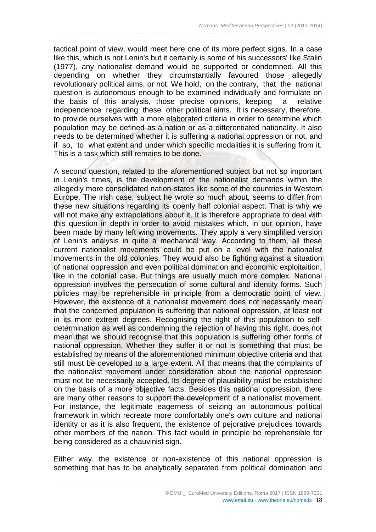tactical point of view, would meet here one of its more perfect signs. In a case like this, which is not Lenin's but it certainly is some of his successors' like Stalin (1977), any nationalist demand would be supported or condemned. All this depending on whether they circumstantially favoured those allegedly revolutionary political aims, or not. We hold, on the contrary, that the national question is autonomous enough to be examined individually and formulate on the basis of this analysis, those precise opinions, keeping a relative independence regarding these other political aims. It is necessary, therefore, to provide ourselves with a more elaborated criteria in order to determine which population may be defined as a nation or as a differentiated nationality. It also needs to be determined whether it is suffering a national oppression or not, and if so, to what extent and under which specific modalities it is suffering from it. This is a task which still remains to be done.

 $\_$  ,  $\_$  ,  $\_$  ,  $\_$  ,  $\_$  ,  $\_$  ,  $\_$  ,  $\_$  ,  $\_$  ,  $\_$  ,  $\_$  ,  $\_$  ,  $\_$  ,  $\_$  ,  $\_$  ,  $\_$  ,  $\_$  ,  $\_$  ,  $\_$  ,  $\_$  ,  $\_$  ,  $\_$  ,  $\_$  ,  $\_$  ,  $\_$  ,  $\_$  ,  $\_$  ,  $\_$  ,  $\_$  ,  $\_$  ,  $\_$  ,  $\_$  ,  $\_$  ,  $\_$  ,  $\_$  ,  $\_$  ,  $\_$  ,

A second question, related to the aforementioned subject but not so important in Lenin's times, is the development of the nationalist demands within the allegedly more consolidated nation-states like some of the countries in Western Europe. The irish case, subject he wrote so much about, seems to differ from these new situations regarding its openly half colonial aspect. That is why we will not make any extrapolations about it. It is therefore appropriate to deal with this question in depth in order to avoid mistakes which, in our opinion, have been made by many left wing movements. They apply a very simplified version of Lenin's analysis in quite a mechanical way. According to them, all these current nationalist movements could be put on a level with the nationalist movements in the old colonies. They would also be fighting against a situation of national oppression and even political domination and economic exploitaition, like in the colonial case. But things are usually much more complex. National oppression involves the persecution of some cultural and identity forms. Such policies may be reprehensible in principle from a democratic point of view. However, the existence of a nationalist movement does not necessarily mean that the concerned population is suffering that national oppression, at least not in its more extrem degrees. Recognising the right of this population to selfdetermination as well as condemning the rejection of having this right, does not mean that we should recognise that this population is suffering other forms of national oppression. Whether they suffer it or not is something that must be established by means of the aforementioned minimum objective criteria and that still must be developed to a large extent. All that means that the complaints of the nationalist movement under consideration about the national oppression must not be necessarily accepted. Its degree of plausibility must be established on the basis of a more objective facts. Besides this national oppression, there are many other reasons to support the development of a nationalist movement. For instance, the legitimate eagerness of seizing an autonomous political framework in which recreate more comfortably one's own culture and national identity or as it is also frequent, the existence of pejorative prejudices towards other members of the nation. This fact would in principle be reprehensible for being considered as a chauvinist sign.

Either way, the existence or non-existence of this national oppression is something that has to be analytically separated from political domination and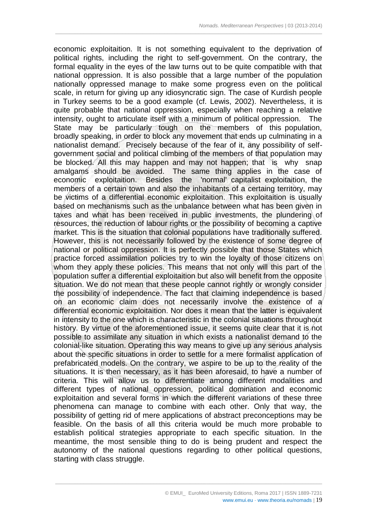economic exploitaition. It is not something equivalent to the deprivation of political rights, including the right to self-government. On the contrary, the formal equality in the eyes of the law turns out to be quite compatible with that national oppression. It is also possible that a large number of the population nationally oppressed manage to make some progress even on the political scale, in return for giving up any idiosyncratic sign. The case of Kurdish people in Turkey seems to be a good example (cf. Lewis, 2002). Nevertheless, it is quite probable that national oppression, especially when reaching a relative intensity, ought to articulate itself with a minimum of political oppression. The State may be particularly tough on the members of this population, broadly speaking, in order to block any movement that ends up culminating in a nationalist demand. Precisely because of the fear of it, any possibility of selfgovernment social and political climbing of the members of that population may be blocked. All this may happen and may not happen; that is why snap amalgams should be avoided. The same thing applies in the case of economic exploitaition. Besides the 'normal' capitalist exploitaition, the members of a certain town and also the inhabitants of a certaing territory, may be victims of a differential economic exploitaition. This exploitaition is usually based on mechanisms such as the unbalance between what has been given in taxes and what has been received in public investments, the plundering of resources, the reduction of labour rights or the possibility of becoming a captive market. This is the situation that colonial populations have traditionally suffered. However, this is not necessarily followed by the existence of some degree of national or political oppression. It is perfectly possible that those States which practice forced assimilation policies try to win the loyalty of those citizens on whom they apply these policies. This means that not only will this part of the population suffer a differential exploitaition but also will benefit from the opposite situation. We do not mean that these people cannot rightly or wrongly consider the possibility of independence. The fact that claiming independence is based on an economic claim does not necessarily involve the existence of a differential economic exploitaition. Nor does it mean that the latter is equivalent in intensity to the one which is characteristic in the colonial situations throughout history. By virtue of the aforementioned issue, it seems quite clear that it is not possible to assimilate any situation in which exists a nationalist demand to the colonial-like situation. Operating this way means to give up any serious analysis about the specific situations in order to settle for a mere formalist application of prefabricated models. On the contrary, we aspire to be up to the reality of the situations. It is then necessary, as it has been aforesaid, to have a number of criteria. This will allow us to differentiate among different modalities and different types of national oppression, political domination and economic exploitaition and several forms in which the different variations of these three phenomena can manage to combine with each other. Only that way, the possibility of getting rid of mere applications of abstract preconceptions may be feasible. On the basis of all this criteria would be much more probable to establish political strategies appropriate to each specific situation. In the meantime, the most sensible thing to do is being prudent and respect the autonomy of the national questions regarding to other political questions, starting with class struggle.

 $\_$  , and the state of the state of the state of the state of the state of the state of the state of the state of the state of the state of the state of the state of the state of the state of the state of the state of the

 $\_$  ,  $\_$  ,  $\_$  ,  $\_$  ,  $\_$  ,  $\_$  ,  $\_$  ,  $\_$  ,  $\_$  ,  $\_$  ,  $\_$  ,  $\_$  ,  $\_$  ,  $\_$  ,  $\_$  ,  $\_$  ,  $\_$  ,  $\_$  ,  $\_$  ,  $\_$  ,  $\_$  ,  $\_$  ,  $\_$  ,  $\_$  ,  $\_$  ,  $\_$  ,  $\_$  ,  $\_$  ,  $\_$  ,  $\_$  ,  $\_$  ,  $\_$  ,  $\_$  ,  $\_$  ,  $\_$  ,  $\_$  ,  $\_$  ,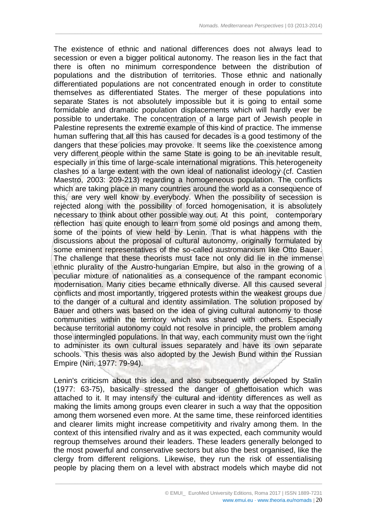The existence of ethnic and national differences does not always lead to secession or even a bigger political autonomy. The reason lies in the fact that there is often no minimum correspondence between the distribution of populations and the distribution of territories. Those ethnic and nationally differentiated populations are not concentrated enough in order to constitute themselves as differentiated States. The merger of these populations into separate States is not absolutely impossible but it is going to entail some formidable and dramatic population displacements which will hardly ever be possible to undertake. The concentration of a large part of Jewish people in Palestine represents the extreme example of this kind of practice. The immense human suffering that all this has caused for decades is a good testimony of the dangers that these policies may provoke. It seems like the coexistence among very different people within the same State is going to be an inevitable result, especially in this time of large-scale international migrations. This heterogeneity clashes to a large extent with the own ideal of nationalist ideology (cf. Castien Maestro, 2003: 209-213) regarding a homogeneous population. The conflicts which are taking place in many countries around the world as a consequence of this, are very well know by everybody. When the possibility of secession is rejected along with the possibility of forced homogenisation, it is absolutely necessary to think about other possible way out. At this point, contemporary reflection has quite enough to learn from some old posings and among them, some of the points of view held by Lenin. That is what happens with the discussions about the proposal of cultural autonomy, originally formulated by some eminent representatives of the so-called austromarxism like Otto Bauer. The challenge that these theorists must face not only did lie in the immense ethnic plurality of the Austro-hungarian Empire, but also in the growing of a peculiar mixture of nationalities as a consequence of the rampant economic modernisation. Many cities became ethnically diverse. All this caused several conflicts and most importantly, triggered protests within the weakest groups due to the danger of a cultural and identity assimilation. The solution proposed by Bauer and others was based on the idea of giving cultural autonomy to those communities within the territory which was shared with others. Especially because territorial autonomy could not resolve in principle, the problem among those intermingled populations. In that way, each community must own the right to administer its own cultural issues separately and have its own separate schools. This thesis was also adopted by the Jewish Bund within the Russian Empire (Nin, 1977: 79-94).

 $\_$  ,  $\_$  ,  $\_$  ,  $\_$  ,  $\_$  ,  $\_$  ,  $\_$  ,  $\_$  ,  $\_$  ,  $\_$  ,  $\_$  ,  $\_$  ,  $\_$  ,  $\_$  ,  $\_$  ,  $\_$  ,  $\_$  ,  $\_$  ,  $\_$  ,  $\_$  ,  $\_$  ,  $\_$  ,  $\_$  ,  $\_$  ,  $\_$  ,  $\_$  ,  $\_$  ,  $\_$  ,  $\_$  ,  $\_$  ,  $\_$  ,  $\_$  ,  $\_$  ,  $\_$  ,  $\_$  ,  $\_$  ,  $\_$  ,

Lenin's criticism about this idea, and also subsequently developed by Stalin (1977: 63-75), basically stressed the danger of ghettoisation which was attached to it. It may intensify the cultural and identity differences as well as making the limits among groups even clearer in such a way that the opposition among them worsened even more. At the same time, these reinforced identities and clearer limits might increase competitivity and rivalry among them. In the context of this intensified rivalry and as it was expected, each community would regroup themselves around their leaders. These leaders generally belonged to the most powerful and conservative sectors but also the best organised, like the clergy from different religions. Likewise, they run the risk of essentialising people by placing them on a level with abstract models which maybe did not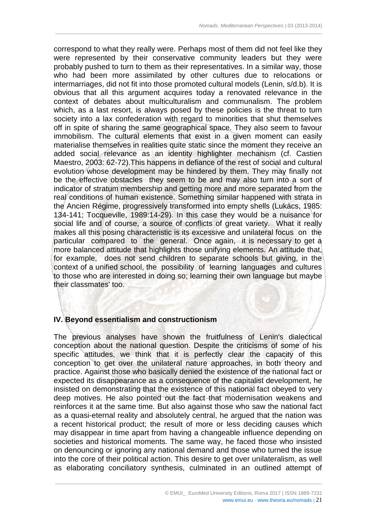correspond to what they really were. Perhaps most of them did not feel like they were represented by their conservative community leaders but they were probably pushed to turn to them as their representatives. In a similar way, those who had been more assimilated by other cultures due to relocations or intermarriages, did not fit into those promoted cultural models (Lenin, s/d.b). It is obvious that all this argument acquires today a renovated relevance in the context of debates about multiculturalism and communalism. The problem which, as a last resort, is always posed by these policies is the threat to turn society into a lax confederation with regard to minorities that shut themselves off in spite of sharing the same geographical space. They also seem to favour immobilism. The cultural elements that exist in a given moment can easily materialise themselves in realities quite static since the moment they receive an added social relevance as an identity highlighter mechanism (cf. Castien Maestro, 2003: 62-72).This happens in defiance of the rest of social and cultural evolution whose development may be hindered by them. They may finally not be the effective obstacles they seem to be and may also turn into a sort of indicator of stratum membership and getting more and more separated from the real conditions of human existence. Something similar happened with strata in the Ancien Régime, progressively transformed into empty shells (Lukács, 1985: 134-141; Tocqueville, 1989:14-29). In this case they would be a nuisance for social life and of course, a source of conflicts of great variety. What it really makes all this posing characteristic is its excessive and unilateral focus on the particular compared to the general. Once again, it is necessary to get a more balanced attitude that highlights those unifying elements. An attitude that, for example, does not send children to separate schools but giving, in the context of a unified school, the possibility of learning languages and cultures to those who are interested in doing so; learning their own language but maybe their classmates' too.

 $\_$  ,  $\_$  ,  $\_$  ,  $\_$  ,  $\_$  ,  $\_$  ,  $\_$  ,  $\_$  ,  $\_$  ,  $\_$  ,  $\_$  ,  $\_$  ,  $\_$  ,  $\_$  ,  $\_$  ,  $\_$  ,  $\_$  ,  $\_$  ,  $\_$  ,  $\_$  ,  $\_$  ,  $\_$  ,  $\_$  ,  $\_$  ,  $\_$  ,  $\_$  ,  $\_$  ,  $\_$  ,  $\_$  ,  $\_$  ,  $\_$  ,  $\_$  ,  $\_$  ,  $\_$  ,  $\_$  ,  $\_$  ,  $\_$  ,

### **IV. Beyond essentialism and constructionism**

The previous analyses have shown the fruitfulness of Lenin's dialectical conception about the national question. Despite the criticisms of some of his specific attitudes, we think that it is perfectly clear the capacity of this conception to get over the unilateral nature approaches, in both theory and practice. Against those who basically denied the existence of the national fact or expected its disappearance as a consequence of the capitalist development, he insisted on demonstrating that the existence of this national fact obeyed to very deep motives. He also pointed out the fact that modernisation weakens and reinforces it at the same time. But also against those who saw the national fact as a quasi-eternal reality and absolutely central, he argued that the nation was a recent historical product; the result of more or less deciding causes which may disappear in time apart from having a changeable influence depending on societies and historical moments. The same way, he faced those who insisted on denouncing or ignoring any national demand and those who turned the issue into the core of their political action. This desire to get over unilateralism, as well as elaborating conciliatory synthesis, culminated in an outlined attempt of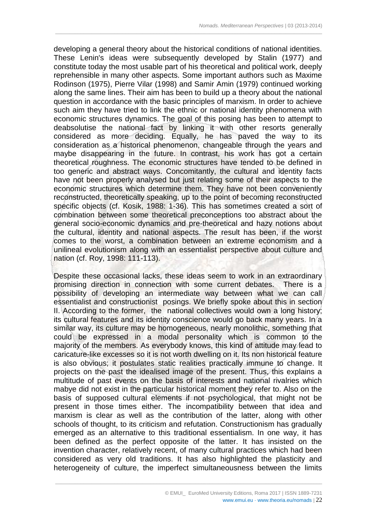developing a general theory about the historical conditions of national identities. These Lenin's ideas were subsequently developed by Stalin (1977) and constitute today the most usable part of his theoretical and political work, deeply reprehensible in many other aspects. Some important authors such as Maxime Rodinson (1975), Pierre Vilar (1998) and Samir Amin (1979) continued working along the same lines. Their aim has been to build up a theory about the national question in accordance with the basic principles of marxism. In order to achieve such aim they have tried to link the ethnic or national identity phenomena with economic structures dynamics. The goal of this posing has been to attempt to deabsolutise the national fact by linking it with other resorts generally considered as more deciding. Equally, he has paved the way to its consideration as a historical phenomenon, changeable through the years and maybe disappearing in the future. In contrast, his work has got a certain theoretical roughness. The economic structures have tended to be defined in too generic and abstract ways. Concomitantly, the cultural and identity facts have not been properly analysed but just relating some of their aspects to the economic structures which determine them. They have not been conveniently reconstructed, theoretically speaking, up to the point of becoming reconstructed specific objects (cf. Kosik, 1988: 1-36). This has sometimes created a sort of combination between some theoretical preconceptions too abstract about the general socio-economic dynamics and pre-theoretical and hazy notions about the cultural, identity and national aspects. The result has been, if the worst comes to the worst, a combination between an extreme economism and a unilineal evolutionism along with an essentialist perspective about culture and nation (cf. Roy, 1998: 111-113).

 $\_$  ,  $\_$  ,  $\_$  ,  $\_$  ,  $\_$  ,  $\_$  ,  $\_$  ,  $\_$  ,  $\_$  ,  $\_$  ,  $\_$  ,  $\_$  ,  $\_$  ,  $\_$  ,  $\_$  ,  $\_$  ,  $\_$  ,  $\_$  ,  $\_$  ,  $\_$  ,  $\_$  ,  $\_$  ,  $\_$  ,  $\_$  ,  $\_$  ,  $\_$  ,  $\_$  ,  $\_$  ,  $\_$  ,  $\_$  ,  $\_$  ,  $\_$  ,  $\_$  ,  $\_$  ,  $\_$  ,  $\_$  ,  $\_$  ,

Despite these occasional lacks, these ideas seem to work in an extraordinary promising direction in connection with some current debates. There is a possibility of developing an intermediate way between what we can call essentialist and constructionist posings. We briefly spoke about this in section II. According to the former, the national collectives would own a long history; its cultural features and its identity conscience would go back many years. In a similar way, its culture may be homogeneous, nearly monolithic, something that could be expressed in a modal personality which is common to the majority of the members. As everybody knows, this kind of attitude may lead to caricature-like excesses so it is not worth dwelling on it. Its non historical feature is also obvious; it postulates static realities practically immune to change. It projects on the past the idealised image of the present. Thus, this explains a multitude of past events on the basis of interests and national rivalries which mabye did not exist in the particular historical moment they refer to. Also on the basis of supposed cultural elements if not psychological, that might not be present in those times either. The incompatibility between that idea and marxism is clear as well as the contribution of the latter, along with other schools of thought, to its criticism and refutation. Constructionism has gradually emerged as an alternative to this traditional essentialism. In one way, it has been defined as the perfect opposite of the latter. It has insisted on the invention character, relatively recent, of many cultural practices which had been considered as very old traditions. It has also highlighted the plasticity and heterogeneity of culture, the imperfect simultaneousness between the limits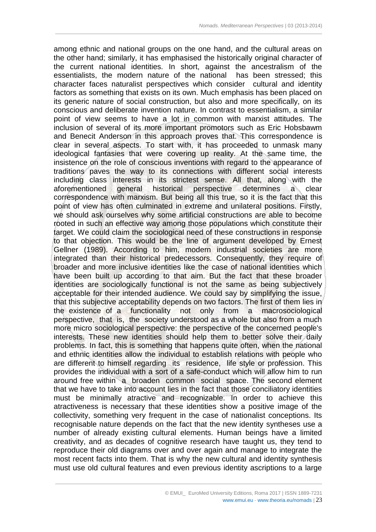among ethnic and national groups on the one hand, and the cultural areas on the other hand; similarly, it has emphasised the historically original character of the current national identities. In short, against the ancestralism of the essentialists, the modern nature of the national has been stressed; this character faces naturalist perspectives which consider cultural and identity factors as something that exists on its own. Much emphasis has been placed on its generic nature of social construction, but also and more specifically, on its conscious and deliberate invention nature. In contrast to essentialism, a similar point of view seems to have a lot in common with marxist attitudes. The inclusion of several of its more important promotors such as Eric Hobsbawm and Benecit Anderson in this approach proves that. This correspondence is clear in several aspects. To start with, it has proceeded to unmask many ideological fantasies that were covering up reality. At the same time, the insistence on the role of conscious inventions with regard to the appearance of traditions paves the way to its connections with different social interests including class interests in its strictest sense. All that, along with the aforementioned general historical perspective determines a clear correspondence with marxism. But being all this true, so it is the fact that this point of view has often culminated in extreme and unilateral positions. Firstly, we should ask ourselves why some artificial constructions are able to become rooted in such an effective way among those populations which constitute their target. We could claim the sociological need of these constructions in response to that objection. This would be the line of argument developed by Ernest Gellner (1989). According to him, modern industrial societies are more integrated than their historical predecessors. Consequently, they require of broader and more inclusive identities like the case of national identities which have been built up according to that aim. But the fact that these broader identities are sociologically functional is not the same as being subjectively acceptable for their intended audience. We could say by simplifying the issue, that this subjective acceptability depends on two factors. The first of them lies in the existence of a functionality not only from a macrosociological perspective, that is, the society understood as a whole but also from a much more micro sociological perspective: the perspective of the concerned people's interests. These new identities should help them to better solve their daily problems. In fact, this is something that happens quite often, when the national and ethnic identities allow the individual to establish relations with people who are different to himself regarding its residence, life style or profession. This provides the individual with a sort of a safe-conduct which will allow him to run around free within a broaden common social space. The second element that we have to take into account lies in the fact that those conciliatory identities must be minimally atractive and recognizable. In order to achieve this atractiveness is necessary that these identities show a positive image of the collectivity, something very frequent in the case of nationalist conceptions. Its recognisable nature depends on the fact that the new identity syntheses use a number of already existing cultural elements. Human beings have a limited creativity, and as decades of cognitive research have taught us, they tend to reproduce their old diagrams over and over again and manage to integrate the most recent facts into them. That is why the new cultural and identity synthesis must use old cultural features and even previous identity ascriptions to a large

 $\_$  , and the state of the state of the state of the state of the state of the state of the state of the state of the state of the state of the state of the state of the state of the state of the state of the state of the

 $\_$  ,  $\_$  ,  $\_$  ,  $\_$  ,  $\_$  ,  $\_$  ,  $\_$  ,  $\_$  ,  $\_$  ,  $\_$  ,  $\_$  ,  $\_$  ,  $\_$  ,  $\_$  ,  $\_$  ,  $\_$  ,  $\_$  ,  $\_$  ,  $\_$  ,  $\_$  ,  $\_$  ,  $\_$  ,  $\_$  ,  $\_$  ,  $\_$  ,  $\_$  ,  $\_$  ,  $\_$  ,  $\_$  ,  $\_$  ,  $\_$  ,  $\_$  ,  $\_$  ,  $\_$  ,  $\_$  ,  $\_$  ,  $\_$  ,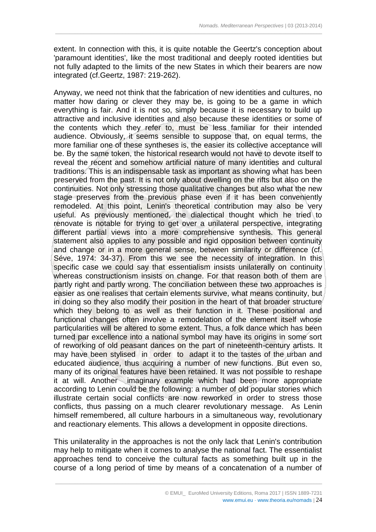extent. In connection with this, it is quite notable the Geertz's conception about 'paramount identities', like the most traditional and deeply rooted identities but not fully adapted to the limits of the new States in which their bearers are now integrated (cf.Geertz, 1987: 219-262).

 $\_$  ,  $\_$  ,  $\_$  ,  $\_$  ,  $\_$  ,  $\_$  ,  $\_$  ,  $\_$  ,  $\_$  ,  $\_$  ,  $\_$  ,  $\_$  ,  $\_$  ,  $\_$  ,  $\_$  ,  $\_$  ,  $\_$  ,  $\_$  ,  $\_$  ,  $\_$  ,  $\_$  ,  $\_$  ,  $\_$  ,  $\_$  ,  $\_$  ,  $\_$  ,  $\_$  ,  $\_$  ,  $\_$  ,  $\_$  ,  $\_$  ,  $\_$  ,  $\_$  ,  $\_$  ,  $\_$  ,  $\_$  ,  $\_$  ,

Anyway, we need not think that the fabrication of new identities and cultures, no matter how daring or clever they may be, is going to be a game in which everything is fair. And it is not so, simply because it is necessary to build up attractive and inclusive identities and also because these identities or some of the contents which they refer to, must be less familiar for their intended audience. Obviously, it seems sensible to suppose that, on equal terms, the more familiar one of these syntheses is, the easier its collective acceptance will be. By the same token, the historical research would not have to devote itself to reveal the recent and somehow artificial nature of many identities and cultural traditions. This is an indispensable task as important as showing what has been preserved from the past. It is not only about dwelling on the rifts but also on the continuities. Not only stressing those qualitative changes but also what the new stage preserves from the previous phase even if it has been conveniently remodeled. At this point, Lenin's theoretical contribution may also be very useful. As previously mentioned, the dialectical thought which he tried to renovate is notable for trying to get over a unilateral perspective, integrating different partial views into a more comprehensive synthesis. This general statement also applies to any possible and rigid opposition between continuity and change or in a more general sense, between similarity or difference (cf. Séve, 1974: 34-37). From this we see the necessity of integration. In this specific case we could say that essentialism insists unilaterally on continuity whereas constructionism insists on change. For that reason both of them are partly right and partly wrong. The conciliation between these two approaches is easier as one realises that certain elements survive, what means continuity, but in doing so they also modify their position in the heart of that broader structure which they belong to as well as their function in it. These positional and functional changes often involve a remodelation of the element itself whose particularities will be altered to some extent. Thus, a folk dance which has been turned par excellence into a national symbol may have its origins in some sort of reworking of old peasant dances on the part of nineteenth-century artists. It may have been stylised in order to adapt it to the tastes of the urban and educated audience, thus acquiring a number of new functions. But even so, many of its original features have been retained. It was not possible to reshape it at will. Another imaginary example which had been more appropriate according to Lenin could be the following: a number of old popular stories which illustrate certain social conflicts are now reworked in order to stress those conflicts, thus passing on a much clearer revolutionary message. As Lenin himself remembered, all culture harbours in a simultaneous way, revolutionary and reactionary elements. This allows a development in opposite directions.

This unilaterality in the approaches is not the only lack that Lenin's contribution may help to mitigate when it comes to analyse the national fact. The essentialist approaches tend to conceive the cultural facts as something built up in the course of a long period of time by means of a concatenation of a number of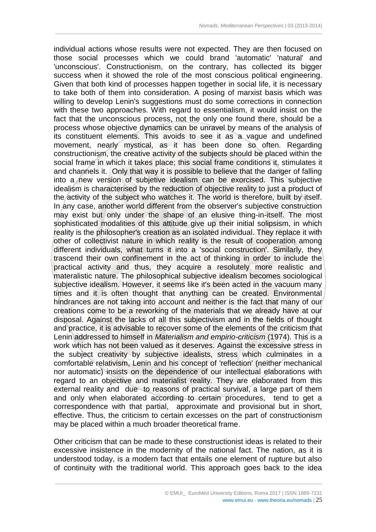individual actions whose results were not expected. They are then focused on those social processes which we could brand 'automatic' 'natural' and 'unconscious'. Constructionism, on the contrary, has collected its bigger success when it showed the role of the most conscious political engineering. Given that both kind of processes happen together in social life, it is necessary to take both of them into consideration. A posing of marxist basis which was willing to develop Lenin's suggestions must do some corrections in connection with these two approaches. With regard to essentialism, it would insist on the fact that the unconscious process, not the only one found there, should be a process whose objective dynamics can be unravel by means of the analysis of its constituent elements. This avoids to see it as a vague and undefined movement, nearly mystical, as it has been done so often. Regarding constructionism, the creative activity of the subjects should be placed within the social frame in which it takes place; this social frame conditions it, stimulates it and channels it. Only that way it is possible to believe that the danger of falling into a new version of subjetive idealism can be exorcised. This subjective idealism is characterised by the reduction of objective reality to just a product of the activity of the subject who watches it. The world is therefore, built by itself. In any case, another world different from the observer's subjective construction may exist but only under the shape of an elusive thing-in-itself. The most sophisticated modalities of this attitude give up their initial solipsism, in which reality is the philosopher's creation as an isolated individual. They replace it with other of collectivist nature in which reality is the result of cooperation among different individuals, what turns it into a 'social construction'. Similarly, they trascend their own confinement in the act of thinking in order to include the practical activity and thus, they acquire a resolutely more realistic and materalistic nature. The philosophical subjective idealism becomes sociological subjective idealism. However, it seems like it's been acted in the vacuum many times and it is often thought that anything can be created. Environmental hindrances are not taking into account and neither is the fact that many of our creations come to be a reworking of the materials that we already have at our disposal. Against the lacks of all this subjectivism and in the fields of thought and practice, it is advisable to recover some of the elements of the criticism that Lenin addressed to himself in *Materialism and empirio-criticism* (1974). This is a work which has not been valued as it deserves. Against the excessive stress in the subject creativity by subjective idealists, stress which culminates in a comfortable relativism, Lenin and his concept of 'reflection' (neither mechanical nor automatic) insists on the dependence of our intellectual elaborations with regard to an objective and materialist reality. They are elaborated from this external reality and due to reasons of practical survival, a large part of them and only when elaborated according to certain procedures, tend to get a correspondence with that partial, approximate and provisional but in short, effective. Thus, the criticism to certain excesses on the part of constructionism may be placed within a much broader theoretical frame.

 $\_$  ,  $\_$  ,  $\_$  ,  $\_$  ,  $\_$  ,  $\_$  ,  $\_$  ,  $\_$  ,  $\_$  ,  $\_$  ,  $\_$  ,  $\_$  ,  $\_$  ,  $\_$  ,  $\_$  ,  $\_$  ,  $\_$  ,  $\_$  ,  $\_$  ,  $\_$  ,  $\_$  ,  $\_$  ,  $\_$  ,  $\_$  ,  $\_$  ,  $\_$  ,  $\_$  ,  $\_$  ,  $\_$  ,  $\_$  ,  $\_$  ,  $\_$  ,  $\_$  ,  $\_$  ,  $\_$  ,  $\_$  ,  $\_$  ,

Other criticism that can be made to these constructionist ideas is related to their excessive insistence in the modernity of the national fact. The nation, as it is understood today, is a modern fact that entails one element of rupture but also of continuity with the traditional world. This approach goes back to the idea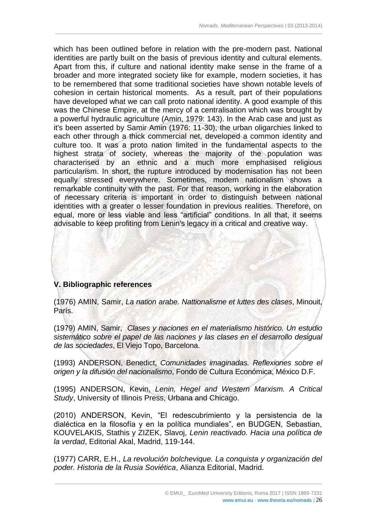which has been outlined before in relation with the pre-modern past. National identities are partly built on the basis of previous identity and cultural elements. Apart from this, if culture and national identity make sense in the frame of a broader and more integrated society like for example, modern societies, it has to be remembered that some traditional societies have shown notable levels of cohesion in certain historical moments. As a result, part of their populations have developed what we can call proto national identity. A good example of this was the Chinese Empire, at the mercy of a centralisation which was brought by a powerful hydraulic agriculture (Amin, 1979: 143). In the Arab case and just as it's been asserted by Samir Amin (1976: 11-30), the urban oligarchies linked to each other through a thick commercial net, developed a common identity and culture too. It was a proto nation limited in the fundamental aspects to the highest strata of society, whereas the majority of the population was characterised by an ethnic and a much more emphasised religious particularism. In short, the rupture introduced by modernisation has not been equally stressed everywhere. Sometimes, modern nationalism shows a remarkable continuity with the past. For that reason, working in the elaboration of necessary criteria is important in order to distinguish between national identities with a greater o lesser foundation in previous realities. Therefore, on equal, more or less viable and less "artificial" conditions. In all that, it seems advisable to keep profiting from Lenin's legacy in a critical and creative way.

 $\_$  ,  $\_$  ,  $\_$  ,  $\_$  ,  $\_$  ,  $\_$  ,  $\_$  ,  $\_$  ,  $\_$  ,  $\_$  ,  $\_$  ,  $\_$  ,  $\_$  ,  $\_$  ,  $\_$  ,  $\_$  ,  $\_$  ,  $\_$  ,  $\_$  ,  $\_$  ,  $\_$  ,  $\_$  ,  $\_$  ,  $\_$  ,  $\_$  ,  $\_$  ,  $\_$  ,  $\_$  ,  $\_$  ,  $\_$  ,  $\_$  ,  $\_$  ,  $\_$  ,  $\_$  ,  $\_$  ,  $\_$  ,  $\_$  ,

# **V. Bibliographic references**

(1976) AMIN, Samir, *La nation arabe. Nattionalisme et luttes des clases*, Minouit, París.

(1979) AMIN, Samir, *Clases y naciones en el materialismo histórico. Un estudio sistemático sobre el papel de las naciones y las clases en el desarrollo desigual de las sociedades*, El Viejo Topo, Barcelona.

(1993) ANDERSON, Benedict, *Comunidades imaginadas. Reflexiones sobre el origen y la difusión del nacionalismo*, Fondo de Cultura Económica, México D.F.

(1995) ANDERSON, Kevin, *Lenin, Hegel and Western Marxism. A Critical Study*, University of Illinois Press, Urbana and Chicago.

(2010) ANDERSON, Kevin, "El redescubrimiento y la persistencia de la dialéctica en la filosofía y en la política mundiales", en BUDGEN, Sebastian, KOUVELAKIS, Stathis y ZIZEK, Slavoj, *Lenin reactivado. Hacia una política de la verdad*, Editorial Akal, Madrid, 119-144.

(1977) CARR, E.H., *La revolución bolchevique. La conquista y organización del poder. Historia de la Rusia Soviética*, Alianza Editorial, Madrid.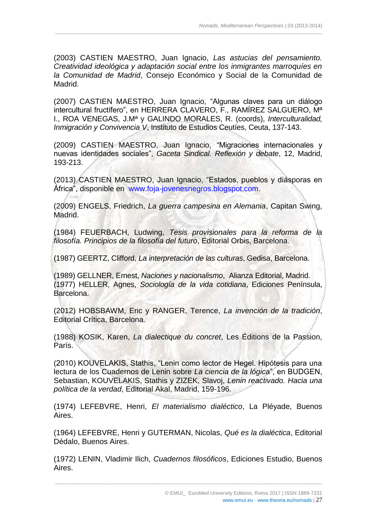(2003) CASTIEN MAESTRO, Juan Ignacio, *Las astucias del pensamiento. Creatividad ideológica y adaptación social entre los inmigrantes marroquíes en la Comunidad de Madrid*, Consejo Económico y Social de la Comunidad de Madrid.

 $\_$  ,  $\_$  ,  $\_$  ,  $\_$  ,  $\_$  ,  $\_$  ,  $\_$  ,  $\_$  ,  $\_$  ,  $\_$  ,  $\_$  ,  $\_$  ,  $\_$  ,  $\_$  ,  $\_$  ,  $\_$  ,  $\_$  ,  $\_$  ,  $\_$  ,  $\_$  ,  $\_$  ,  $\_$  ,  $\_$  ,  $\_$  ,  $\_$  ,  $\_$  ,  $\_$  ,  $\_$  ,  $\_$  ,  $\_$  ,  $\_$  ,  $\_$  ,  $\_$  ,  $\_$  ,  $\_$  ,  $\_$  ,  $\_$  ,

(2007) CASTIEN MAESTRO, Juan Ignacio, "Algunas claves para un diálogo intercultural fructífero", en HERRERA CLAVERO, F., RAMÍREZ SALGUERO, Mª I., ROA VENEGAS, J.Mª y GALINDO MORALES, R. (coords), *Interculturalidad, Inmigración y Convivencia V*, Instituto de Estudios Ceutíes, Ceuta, 137-143.

(2009) CASTIEN MAESTRO, Juan Ignacio, "Migraciones internacionales y nuevas identidades sociales", *Gaceta Sindical. Reflexión y debate*, 12, Madrid, 193-213.

(2013) CASTIEN MAESTRO, Juan Ignacio, "Estados, pueblos y diásporas en África", disponible en [www.foja-jovenesnegros.blogspot.com.](http://www.foja-jovenesnegros.blogspot.com/)

(2009) ENGELS, Friedrich, *La guerra campesina en Alemania*, Capitan Swing, Madrid.

(1984) FEUERBACH, Ludwing, *Tesis provisionales para la reforma de la filosofía. Principios de la filosofía del futuro*, Editorial Orbis, Barcelona.

(1987) GEERTZ, Clifford, *La interpretación de las culturas*, Gedisa, Barcelona.

(1989) GELLNER, Ernest, *Naciones y nacionalismo*, Alianza Editorial, Madrid. (1977) HELLER, Agnes, *Sociología de la vida cotidiana*, Ediciones Península, Barcelona.

(2012) HOBSBAWM, Eric y RANGER, Terence, *La invención de la tradición*, Editorial Crítica, Barcelona.

(1988) KOSIK, Karen, *La dialectique du concret*, Les Éditions de la Passion, París.

(2010) KOUVELAKIS, Stathis, "Lenin como lector de Hegel. Hipótesis para una lectura de los Cuadernos de Lenin sobre *La ciencia de la lógica*", en BUDGEN, Sebastian, KOUVELAKIS, Stathis y ZIZEK, Slavoj, *Lenin reactivado. Hacia una política de la verdad*, Editorial Akal, Madrid, 159-196.

(1974) LEFEBVRE, Henri, *El materialismo dialéctico*, La Pléyade, Buenos Aires.

(1964) LEFEBVRE, Henri y GUTERMAN, Nicolas, *Qué es la dialéctica*, Editorial Dédalo, Buenos Aires.

(1972) LENIN, Vladimir Ilich, *Cuadernos filosóficos*, Ediciones Estudio, Buenos Aires.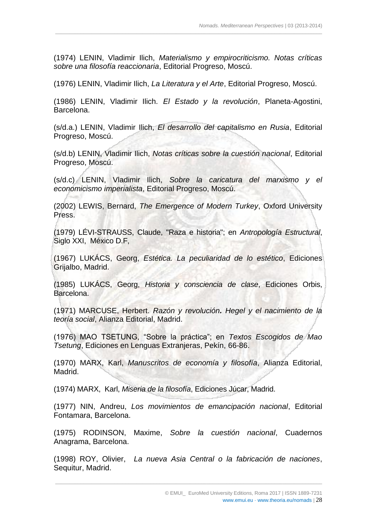(1974) LENIN, Vladimir Ilich, *Materialismo y empirocriticismo. Notas críticas sobre una filosofía reaccionaria*, Editorial Progreso, Moscú.

 $\_$  ,  $\_$  ,  $\_$  ,  $\_$  ,  $\_$  ,  $\_$  ,  $\_$  ,  $\_$  ,  $\_$  ,  $\_$  ,  $\_$  ,  $\_$  ,  $\_$  ,  $\_$  ,  $\_$  ,  $\_$  ,  $\_$  ,  $\_$  ,  $\_$  ,  $\_$  ,  $\_$  ,  $\_$  ,  $\_$  ,  $\_$  ,  $\_$  ,  $\_$  ,  $\_$  ,  $\_$  ,  $\_$  ,  $\_$  ,  $\_$  ,  $\_$  ,  $\_$  ,  $\_$  ,  $\_$  ,  $\_$  ,  $\_$  ,

(1976) LENIN, Vladimir Ilich, *La Literatura y el Arte*, Editorial Progreso, Moscú.

(1986) LENIN, Vladimir Ilich. *El Estado y la revolución*, Planeta-Agostini, Barcelona.

(s/d.a.) LENIN, Vladimir Ilich, *El desarrollo del capitalismo en Rusia*, Editorial Progreso, Moscú.

(s/d.b) LENIN, Vladimir Ilich, *Notas críticas sobre la cuestión nacional*, Editorial Progreso, Moscú.

(s/d.c) LENIN, Vladimir Ilich, *Sobre la caricatura del marxismo y el economicismo imperialista*, Editorial Progreso, Moscú.

(2002) LEWIS, Bernard, *The Emergence of Modern Turkey*, Oxford University Press.

(1979) LÉVI-STRAUSS, Claude, "Raza e historia"; en *Antropología Estructural*, Siglo XXI, México D.F,

(1967) LUKÁCS, Georg, *Estética. La peculiaridad de lo estético*, Ediciones Grijalbo, Madrid.

(1985) LUKÁCS, Georg, *Historia y consciencia de clase*, Ediciones Orbis, Barcelona.

(1971) MARCUSE, Herbert. *Razón y revolución. Hegel y el nacimiento de la teoría social*, Alianza Editorial, Madrid.

(1976) MAO TSETUNG, "Sobre la práctica"; en *Textos Escogidos de Mao Tsetung*, Ediciones en Lenguas Extranjeras, Pekín, 66-86.

(1970) MARX, Karl, *Manuscritos de economía y filosofía*, Alianza Editorial, Madrid.

(1974) MARX, Karl, *Miseria de la filosofía*, Ediciones Júcar, Madrid.

(1977) NIN, Andreu, *Los movimientos de emancipación nacional*, Editorial Fontamara, Barcelona.

(1975) RODINSON, Maxime, *Sobre la cuestión nacional*, Cuadernos Anagrama, Barcelona.

(1998) ROY, Olivier, *La nueva Asia Central o la fabricación de naciones*, Sequitur, Madrid.